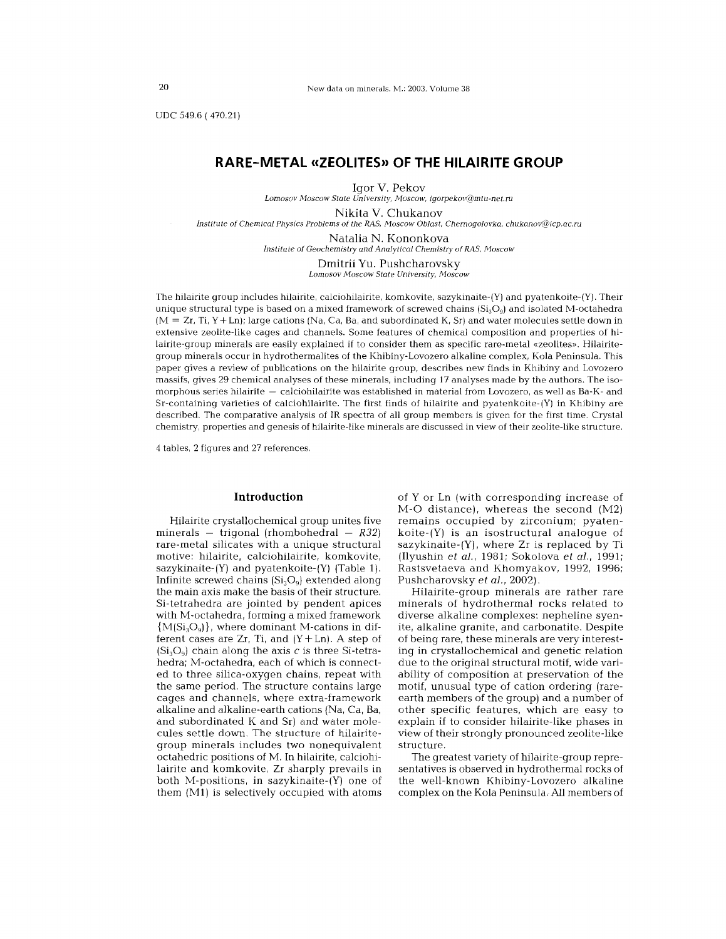UDC 549.6 (470.21)

# **RARE-METAL «ZEOLITES» OF THE HILAIRITE GROUP**

Igor V. Pekov *Lomosov Moscow State University, Moscow, igorpekoV@mtu-net.ru*

Nikita V. Chukanov

*Institute 01 Chemical Physics Problems* 01 *the RAS, Moscow Oblast, Chernogolovka, chukanoV@icp.ac.ru*

Natalia N. Kononkova *Institute* 01 *Geochemistry and Analytical Chemistry 01 RAS, Moscow*

> **Dmitrii** YU. Pushcharovsky *Lomosov Moscow State University, Moscow*

The hilairite group includes hilairite, calciohilairite, komkovite, sazykinaite-(Y) and pyatenkoite-(Y). Their unique structural type is based on a mixed framework of screwed chains  $(Si<sub>3</sub>O<sub>9</sub>)$  and isolated M-octahedra (M <sup>=</sup> Zr, Ti, Y + Ln); large cations (Na, Ca, Ba, and subordinated K, Sr) and water molecules settle down in extensive zeolite-like cages and channels. Some features of chemical composition and properties of hilairite-group minerals are easily explained if to consider them as specific rare-metal «zeolites». Hilairitegroup minerals occur in hydrothermalites of the Khibiny-Lovozero alkaline complex, Kola Peninsula. This paper gives a review of publications on the hilairite group, describes new finds in Khibiny and Lovozero massifs, gives 29 chemical analyses of these minerals, including 17 analyses made by the authors. The isomorphous series hilairite — calciohilairite was established in material from Lovozero, as well as Ba-K- and Sr-containing varieties of calciohilairite. The firsl finds of hilairite and pyatenkoite-(Y) in Khibiny are described. The comparative analysis of IR spectra of all group members is given for the first time. Crystal chemistry, properties and genesis of hilairite-like minerals are discussed in view of their zeolite-like structure.

4 tables, 2 figures and 27 references.

#### **Introduction**

Hilairite crystallochemical group unites five minerals - trigonal (rhombohedral - *R32)* rare-metal silicates with a unique structural motive: hilairite, calciohilairite, komkovite, sazykinaite-(Y) and pyatenkoite-{Y) (Table 1). Infinite screwed chains  $(S_i, O_o)$  extended along the main axis make the basis of their structure. Si-tetrahedra are jointed by pendent apices with M-octahedra, forming a mixed framework  ${M(Si_3O_q)}$ , where dominant M-cations in different cases are  $Zr$ , Ti, and  $(Y+Ln)$ . A step of  $(Si<sub>3</sub>O<sub>q</sub>)$  chain along the axis c is three Si-tetrahedra; M-octahedra, each of which is connected to three silica-oxygen chains, repeat with the same period. The structure contains large cages and channels, where extra-framework alkaline and alkaline-earth cations (Na, Ca, Ba, and subordinated K and Sr) and water molecules settle down. The structure of hilairitegroup minerals includes two nonequivalent octahedric positions of M. In hilairite, calciohilairite and komkovite, Zr sharply prevails in both M-positions, in sazykinaite-{Y) one of them (Ml) is selectively occupied with atoms of Y or Ln (with corresponding increase of M-O distance). whereas the second (M2) remains occupied by zirconium; pyatenkoite-(Y) is an isostructural analogue of sazykinaite-(Y). where Zr is replaced by Ti (Ilyushin *et aI.,* 1981; Sokolova *et aI.,* 1991; Rastsvetaeva and Khomyakov, 1992, 1996; Pushcharovsky *et aI.,* 2002).

Hilairite-group minerals are rather rare minerals of hydrothermal rocks related to diverse alkaline complexes: nepheline syenite, alkaline granite, and carbonatite. Despite of being rare, these minerals are very interesting in crystallochemical and genetic relation due to the original structural motif, wide variability of composition at preservation of the motif, unusual type of cation ordering (rareearth members of the group) and a number of other specific features, which are easy to explain if to consider hilairite-like phases in view of their strongly pronounced zeolite-like structure.

The greatest variety of hilairite-group representatives is observed in hydrothermal rocks of the well-known Khibiny-Lovozero alkaline complex on the Kola Peninsula. All members of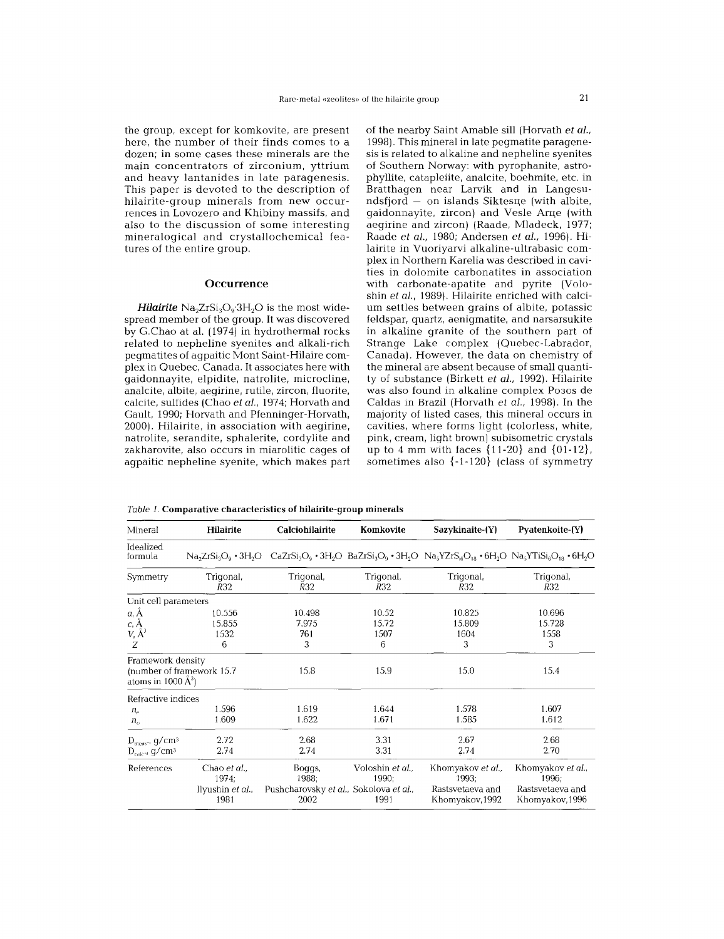the group, except for komkovite, are present here, the number of their finds comes to a dozen; in some cases these minerals are the main concentrators of zirconium, yttrium and heavy lantanides in late paragenesis. This paper is devoted to the description of hilairite-group minerals from new occurrences in Lovozero and Khibiny massifs, and also to the discussion of some interesting mineralogical and crystallochemical features of the entire group.

#### **Occurrence**

*Hilairite*  $Na<sub>2</sub>ZrSi<sub>3</sub>O<sub>9</sub>·3H<sub>2</sub>O$  is the most widespread member of the group. It was discovered by G.Chao at al. (1974) in hydrothermal rocks related to nepheline syenites and alkali-rich pegmatites of agpaitic Mont Saint-Hilaire complex in Quebec, Canada. It associates here with gaidonnayite, elpidite, natrolite, microcline, analcite, albite, aegirine, rutile, zircon, fluorite, calcite, sulfides (Chao et al., 1974; Horvath and Gault, 1990; Horvath and Pfenninger-Horvath, 2000). Hilairite, in association with aegirine, natrolite, serandite, sphalerite, cordylite and zakharovite, also occurs in miarolitic cages of agpaitic nepheline syenite, which makes part of the nearby Saint Amable sill (Horvath et al., 1998).This mineral in late pegmatite paragenesis is related to alkaline and nepheline syenites of Southern Norway: with pyrophanite, astrophyllite, catapleiite, analcite, boehmite, etc. in Bratthagen near Larvik and in Langesundsfjord — on islands Siktesue (with albite gaidonnayite, zircon) and Vesle Arue (with aegirine and zircon) (Raade, Mladeck, 1977; Raade et ai., 1980; Andersen et ai., 1996). Hilairite in Vuoriyarvi alkaline-ultrabasic complex in Northern Karelia was described in cavities in dolomite carbonatites in association with carbonate-apatite and pyrite (Voloshin et al., 1989). Hilairite enriched with calcium settles between grains of albite, potassic feldspar, quartz, aenigmatite, and narsarsukite in alkaline granite of the southern part of Strange Lake complex (Quebec-Labrador, Canada). However, the data on chemistry of the mineral are absent because of small quantity of substance (Birkett et al., 1992). Hilairite was also found in alkaline complex P030S de Caldas in Brazil (Horvath *et ai.,* 1998). In the majority of listed cases, this mineral occurs in cavities, where forms light (colorless, white, pink, cream, light brown) subisometric crystals up to 4 mm with faces {11-20} and {01-12}, sometimes also  $\{-1-120\}$  (class of symmetry

| Hilairite<br>Mineral                                                      |                                                  | <b>Calciohilairite</b>                                            | Komkovite                         | Sazykinaite-(Y)                                                                                                                    | Pyatenkoite-(Y)                                                   |  |  |
|---------------------------------------------------------------------------|--------------------------------------------------|-------------------------------------------------------------------|-----------------------------------|------------------------------------------------------------------------------------------------------------------------------------|-------------------------------------------------------------------|--|--|
| Idealized<br>formula                                                      |                                                  |                                                                   |                                   | $Na2TSi3O9$ • 3H <sub>2</sub> O $CaZrSi3O9$ • 3H <sub>2</sub> O $BaZrSi3O9$ • $3H2O$ $Na3YZrS4O18$ • $6H2O$ $Na3YTSi4O18$ • $6H2O$ |                                                                   |  |  |
| Symmetry                                                                  | Trigonal,<br>R32                                 | Trigonal,<br>R32                                                  | Trigonal,<br>R32                  | Trigonal,<br>R32                                                                                                                   | Trigonal,<br>R32                                                  |  |  |
| Unit cell parameters                                                      |                                                  |                                                                   |                                   |                                                                                                                                    |                                                                   |  |  |
| $a, \AA$<br>$c, \mathsf{A}$<br>$V \, \AA^3$<br>Ζ                          | 10.556<br>15.855<br>1532<br>6                    | 10.498<br>7.975<br>761<br>3                                       | 10.52<br>15.72<br>1507<br>6       | 10.825<br>15.809<br>1604<br>3                                                                                                      | 10.696<br>15.728<br>1558<br>3                                     |  |  |
| Framework density<br>(number of framework 15.7<br>atoms in 1000 $\AA^3$ ) |                                                  | 15.8                                                              | 15.9                              | 15.0                                                                                                                               | 15.4                                                              |  |  |
| Refractive indices                                                        |                                                  |                                                                   |                                   |                                                                                                                                    |                                                                   |  |  |
| $n_{\circ}$<br>$n_{\alpha}$                                               | 1.596<br>1.609                                   | 1.619<br>1.622                                                    | 1.644<br>1.671                    | 1.578<br>1.585                                                                                                                     | 1.607<br>1.612                                                    |  |  |
| $D_{\text{meas}}$ , g/cm <sup>3</sup>                                     | 2.72                                             | 2.68                                                              | 3.31                              | 2.67                                                                                                                               | 2.68                                                              |  |  |
| $D_{\text{calc}}$ , g/cm <sup>3</sup>                                     | 2.74                                             | 2.74                                                              | 3.31                              | 2.74                                                                                                                               | 2.70                                                              |  |  |
| References                                                                | Chao et al.,<br>1974;<br>Ilyushin et al.<br>1981 | Boggs,<br>1988;<br>Pushcharovsky et al., Sokolova et al.,<br>2002 | Voloshin et al.,<br>1990:<br>1991 | Khomyakov et al.,<br>1993:<br>Rastsvetaeva and<br>Khomyakov, 1992                                                                  | Khomyakov et al.,<br>1996:<br>Rastsvetaeva and<br>Khomyakov, 1996 |  |  |

Tabie 1. Comparative characteristics of hilairite-group minerals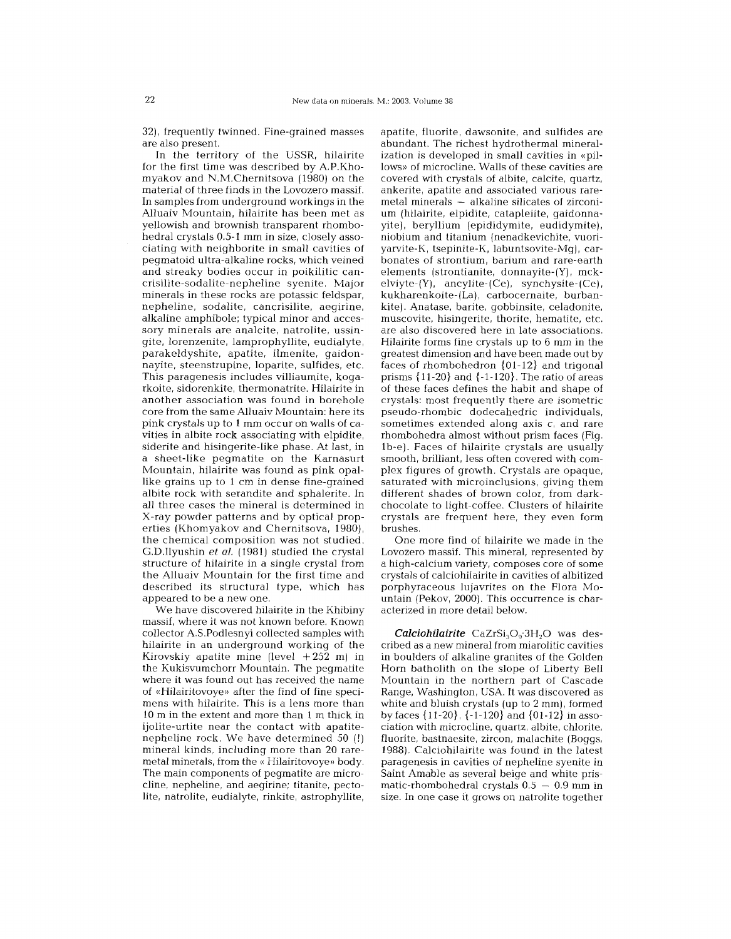32), frequently twinned. Fine-grained masses are also present.

In the territory of the USSR, hilairite for the first time was described by A.P.Khomyakov and N.M.Chernitsova (1980) on the material of three finds in the Lovozero massif. In samples from underground workings in the Alluaiv Mountain, hilairite has been met as yellowish and brownish transparent rhombohedral crystals 0.5-1 mm in size, closelyassociating with neighborite in small cavities of pegmatoid ultra-alkaline rocks, which veined and streaky bodies occur in poikilitic cancrisilite-sodalite-nepheline syenite. Major minerals in these rocks are potassic feldspar, nepheline, sodalite, cancrisilite, aegirine, alkaline amphibole; typical minor and accessory minerals are analcite, natrolite, ussingite, lorenzenite, lamprophyllite, eudialyte, parakeldyshite, apatite, ilmenite, gaidonnayite, steenstrupine, loparite, sulfides, etc. This paragenesis includes villiaumite, kogarkoite, sidorenkite, thermonatrite. Hilairite in another association was found in borehole core from the same Alluaiv Mountain: here its pink crystals up to 1 mm occur on walls of cavities in albite rock associating with elpidite, siderite and hisingerite-like phase. At last, in a sheet-like pegmatite on the Karnasurt Mountain, hilairite was found as pink opallike grains up to 1 cm in dense fine-grained albite rock with serandite and sphalerite. In all three cases the mineral is determined in X-ray powder patterns and by optical properties (Khomyakov and Chernitsova, 1980), the chemical composition was not studied. G.D.Ilyushin *et ai.* (1981) studied the crystal structure of hilairite in a single crystal from the Alluaiv Mountain for the first time and described its structural type, which has appeared to be a new one.

We have discovered hilairite in the Khibiny massif, where it was not known before. Known collector A.S.Podlesnyi collected samples with hilairite in an underground working of the Kirovskiy apatite mine (level  $+252$  m) in the Kukisvumchorr Mountain. The pegmatite where it was found out has received the name of «Hilairitovoye» after the find of fine specimens with hilairite. This is a lens more than 10 m in the extent and more than 1 m thick in ijolite-urtite near the contact with apatitenepheline rock. We have determined 50 (!) mineral kinds, including more than 20 raremetal minerals, from the « Hilairitovoye» body. The main components of pegmatite are microcline, nepheline, and aegirine; titanite, pectolite, natrolite, eudialyte, rinkite, astrophyllite,

apatite, fluorite, dawsonite, and sulfides are abundant. The richest hydrothermal mineralization is developed in small cavities in «pillows» of microcline. Walls of these cavities are covered with crystals of albite, calcite, quartz, ankerite, apatite and associated various rare- $\mathbf{m}$ etal  $\mathbf{m}$ inerals  $-$  alkaline silicates of zirconi um (hilairite, elpidite, catapleiite, gaidonnayite), beryllium (epididymite, eudidymite), niobium and titanium (nenadkevichite, vuoriyarvite-K, tsepinite-K, labuntsovite-Mg), carbonates of strontium, barium and rare-earth elements (strontianite, donnayite-(Y), mckelviyte-(Y), ancylite-(Ce), synchysite-(Ce), kukharenkoite-(La), carbocernaite, burbankite). Anatase, barite, gobbinsite, celadonite, muscovite, hisingerite, thorite, hematite, etc. are also discovered here in late associations. Hilairite forms fine crystals up to 6 mm in the greatest dimension and have been made out by faces of rhombohedron {O1-12} and trigonal prisms  $\{11-20\}$  and  $\{-1-120\}$ . The ratio of areas of these faces defines the habit and shape of crystals: most frequently there are isometric pseudo-rhombic dodecahedric individuals, sometimes extended along axis c, and rare rhombohedra almost without prism faces (Fig. 1b-e). Faces of hilairite crystals are usually smooth, brilliant, less often covered with complex figures of growth. Crystals are opaque, saturated with microinclusions, giving them different shades of brown color, from darkchocolate to light-coffee. Clusters of hilairite crystals are frequent here, they even form brushes.

One more find of hilairite we made in the Lovozero massif. This mineral, represented by a high-calcium variety, composes core of some crystals of calciohilairite in cavities of albitized porphyraceous lujavrites on the Flora Mountain (Pekov, 2000). This occurrence is characterized in more detail below.

*Calciohilairite* CaZrSi<sub>3</sub>O<sub>9</sub>.3H<sub>2</sub>O was described as a new mineral from miarolitic cavities in boulders of alkaline granites of the Golden Horn batholith on the slope of Liberty Bell Mountain in the northern part of Cascade Range, Washington, USA. It was discovered as white and bluish crystals (up to 2 mm), formed by faces {11-20}. {-1-120} and {O1-12} in association with microcline, quartz, albite, chlorite, fluorite, bastnaesite, zircon, malachite (Boggs, 1988). Calciohilairite was found in the latest paragenesis in cavities of nepheline syenite in Saint Amable as several beige and white prismatic-rhombohedral crystals  $0.5 - 0.9$  mm in size. In one case it grows on natrolite together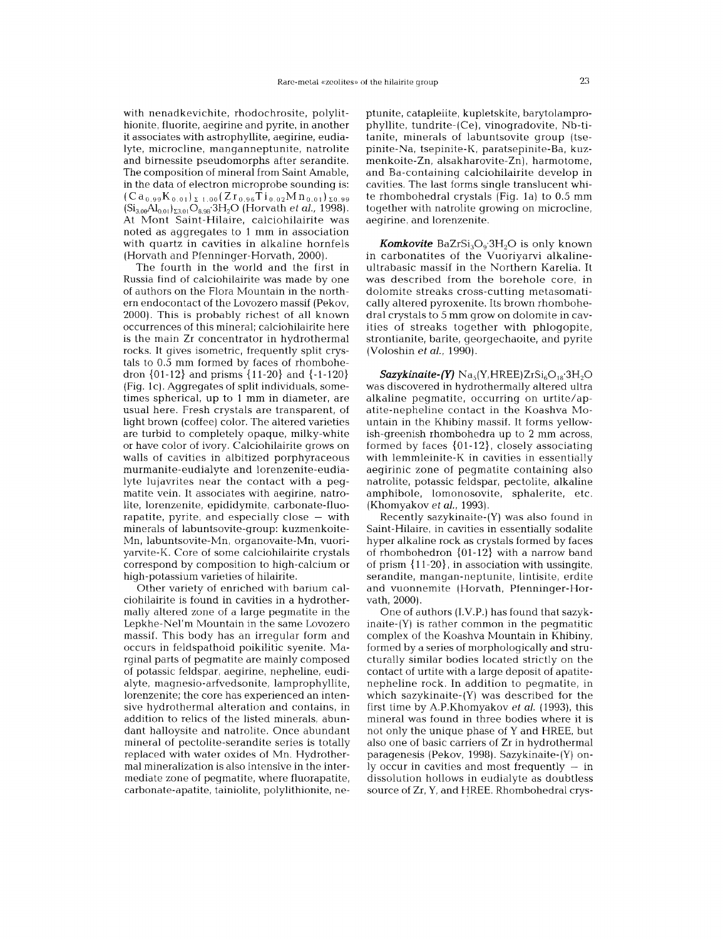with nenadkevichite, rhodochrosite, polylithionite, fluorite, aegirine and pyrite, in another it associates with astrophyllite, aegirine, eudialyte, microcline, manganneptunite, natrolite and birnessite pseudomorphs after serandite. The composition of mineral from Saint Amable, in the data of electron microprobe sounding is:  $(Ca_{0.99}K_{0.01})_{\Sigma=1.00}(Zr_{0.96}Ti_{0.02}Mn_{0.01})_{\Sigma=0.99}$  $(Si_{3.00}Al_{0.01})_{\Sigma3.01}O_{8.98}3H_2O$  (Horvath *et al.*, 1998). At Mont Saint-Hilaire, calciohilairite was noted as aggregates to 1 mm in association with quartz in cavities in alkaline hornfels (Horvath and Pfenninger-Horvath, 2000).

The fourth in the world and the first in Russia find of calciohilairite was made by one of authors on the Flora Mountain in the northern endocontact of the Lovozero massif (Pekov, 2000). This is probably richest of all known occurrences of this mineral; calciohilairite here is the main Zr concentrator in hydrothermal rocks. It gives isometric, frequently split crystals to 0.5 mm formed by faces of rhombohedron {01-12} and prisms {11-20} and {-1-120} (Fig. 1c). Aggregates of split individuals, sometimes spherical, up to 1 mm in diameter, are usual here. Fresh crystals are transparent, of light brown (coffee) color. The altered varieties are turbid to completely opaque, milky-white or have color of ivory. Calciohilairite grows on walls of cavities in albitized porphyraceous murmanite-eudialyte and lorenzenite-eudialyte lujavrites near the contact with a pegmatite vein. It associates with aegirine, natrolite, lorenzenite, epididymite, carbonate-fluorapatite, pyrite, and especially close  $-$  with minerals of labuntsovite-group: kuzmenkoite-Mn, labuntsovite-Mn, organovaite-Mn, vuoriyarvite-K. Core of some calciohilairite crystals correspond by composition to high-calcium or high-potassium varieties of hilairite.

Other variety of enriched with barium calciohilairite is found in cavities in a hydrothermally altered zone of a large pegmatite in the Lepkhe-Nel'm Mountain in the same Lovozero massif. This body has an irregular form and occurs in feldspathoid poikilitic syenite. Marginal parts of pegmatite are mainly composed of potassic feldspar, aegirine, nepheline, eudialyte, magnesio-arfvedsonite, lamprophyllite, lorenzenite; the core has experienced an intensive hydrothermal alteration and contains, in addition to relics of the listed minerals, abundant halloysite and natrolite. Once abundant mineral of pectolite-serandite series is totally replaced with water oxides of Mn. Hydrothermal mineralization is also intensive in the intermediate zone of pegmatite, where fluorapatite, carbonate-apatite, tainiolite, polylithionite, ne-

ptunite, catapleiite, kupletskite, barytolamprophyllite, tundrite-(Ce), vinogradovite, Nb-titanite, minerals of labuntsovite group (tsepinite-Na, tsepinite-K, paratsepinite-Ba, kuzmenkoite-Zn, alsakharovite-Zn), harmotome, and Ba-containing calciohilairite develop in cavities. The last forms single translucent white rhombohedral crystals (Fig. 1a) to 0.5 mm together with natrolite growing on microcline, aegirine, and lorenzenite.

*Komkovite* BaZrSi<sub>3</sub>O<sub>9</sub>.3H<sub>2</sub>O is only known in carbonatites of the Vuoriyarvi alkalineultrabasic massif in the Northern Karelia. It was described from the borehole core, in dolomite streaks cross-cutting metasomatically altered pyroxenite. Its brown rhombohedral crystals to 5 mm grow on dolomite in cavities of streaks together with phlogopite, strontianite, barite, georgechaoite, and pyrite (Voloshin *et aI., 1990).*

 $S$ azykinaite-(Y) Na<sub>s</sub>(Y,HREE)ZrSi<sub>6</sub>O<sub>18</sub>:3H<sub>2</sub>O was discovered in hydrothermally altered ultra alkaline pegmatite, occurring on urtite/apatite-nepheline contact in the Koashva Mountain in the Khibiny massif. It forms yellowish-greenish rhombohedra up to 2 mm across, formed by faces {O1-12}, closely associating with lemmleinite-K in cavities in essentially aegirinic zone of pegmatite containing also natrolite, potassic feldspar, pectolite, alkaline amphibole, lomonosovite, sphalerite, etc. (Khomyakov *et aI., 1993).*

Recently sazykinaite-(Y) was also found in Saint-Hilaire, in cavities in essentially sodalite hyper alkaline rock as crystals formed by faces of rhombohedron {01-12} with a narrow band of prism {11-20}, in association with ussingite, serandite, mangan-neptunite, lintisite, erdite and vuonnemite (Horvath, Pfenninger-Horvath, 2000).

One of authors (LV.P.) has found that sazykinaite-(Y) is rather common in the pegmatitic complex of the Koashva Mountain in Khibiny, formed by a series of morphologically and structurally similar bodies located strictly on the contact of urtite with a large deposit of apatitenepheline rock. **In** addition to pegmatite, in which sazykinaite-(Y) was described for the first time by A.P.Khomyakov *et aI.* (1993), this mineral was found in three bodies where it is not only the unique phase of Y and HREE, but also one of basic carriers of Zr in hydrothermal paragenesis (Pekov, 1998). Sazykinaite-(Y) only occur in cavities and most frequently – in dissolution hollows in eudialyte as doubtless source of Zr, Y, and HREE. Rhombohedral crys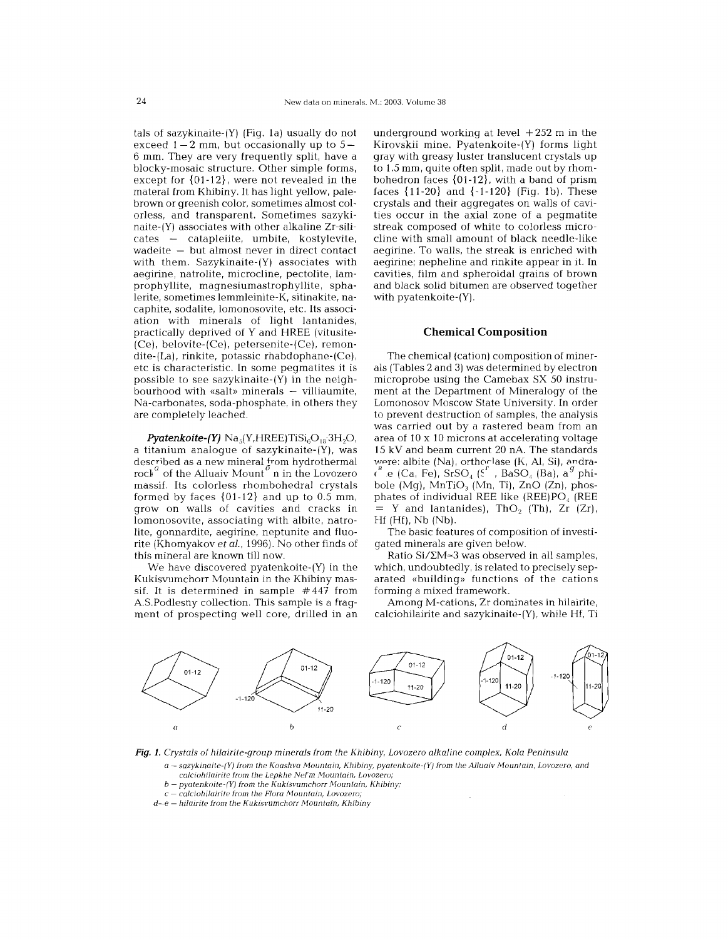tals of sazykinaite-(Y) (Fig. la) usually do not  $\frac{1}{2}$  mm, but occasionally up to 5. 6 mm. They are very frequently split, have a blocky-mosaic structure. Other simple forms, except for {O1-12}. were not revealed in the materal from Khibiny. It has light yellow, palebrown or greenish color, sometimes almost colorless, and transparent. Sometimes sazykinaite-(Y) associates with other alkaline Zr-silicates catapleiite, umbite, kostylevite, wadeite - but almost never in direct contact with them. Sazykinaite-(Y) associates with aegirine, natrolite, microcline, pectolite, lamprophyllite, magnesiumastrophyllite, sphalerite, sometimes lemmleinite-K, sitinakite, nacaphite, sodalite, lomonosovite, etc. Its association with minerals of light lantanides, practically deprived of Y and HREE (vitusite- (Ce), belovite-(Ce), petersenite-(Ce), remondite-(La), rinkite, potassic rhabdophane-(Ce), etc is characteristic. In some pegmatites it is possible to see sazykinaite-(Y) in the neighbourhood with «salt» minerals — villiaumit Na-carbonates, soda-phosphate, in others they are completely leached.

 $Pyatenkoit (Y)$  Na<sub>s</sub>(Y,HREE)TiSi<sub>6</sub>O<sub>18</sub>.3H<sub>2</sub>O<sub>1</sub> a titanium analogue of sazykinaite-(Y), was described as a new mineral from hydrotherma<br>rock <sup>a</sup> of the Alluaiv Mount <sup>6</sup> n in the Lovozer massif. Its colorless rhombohedral crystals formed by faces {01-12} and up to 0.5 mm, grow on walls of cavities and cracks in lomonosovite, associating with albite, natrolite, gonnardite, aegirine, neptunite and fluorite (Khomyakov *et aI.,* 1996). No other finds of this mineral are known till now.

We have discovered pyatenkoite-(Y) in the Kukisvumchorr Mountain in the Khibiny massif. It is determined in sample #447 from A.S.Podlesny collection. This sample is a fragment of prospecting well core, drilled in an underground working at level  $+252$  m in the Kirovskii mine. Pyatenkoite-(Y) forms light gray with greasy luster translucent crystals up to 1.5 mm, quite often split, made out by rhombohedron faces  $\{01-12\}$ , with a band of prism faces  $\{11-20\}$  and  $\{-1-120\}$  (Fig. 1b). These crystals and their aggregates on walls of cavities occur in the axial zone of a pegmatite streak composed of white to colorless microcline with small amount of black needle-like aegirine. To walls, the streak is enriched with aegirine; nepheline and rinkite appear in it. In cavities, film and spheroidal grains of brown and black solid bitumen are observed together with pyatenkoite-(Y).

#### **Chemical Composition**

The chemical (cation) composition of minerals (Tables 2 and 3) was determined by electron microprobe using the Camebax SX 50 instrument at the Department of Mineralogy of the Lomonosov Moscow State University. In order to prevent destruction of samples, the analysis was carried out by a rastered beam from an area of 10 x 10 microns at accelerating voltage 15 kV and beam current 20 nA. The standards were: albite  $(Na)$ , orthorlase  $(K, A1, Si)$ , andra- $\epsilon^B$  .e (Ca, Fe), SrSO<sub>4</sub> (S<sup>r</sup>, BaSO<sub>4</sub> (Ba),  $a^g$  phi bole (Mg),  $MnTiO<sub>3</sub>$  (Mn, Ti), ZnO (Zn), phosphates of individual REE like (REE) $PO<sub>4</sub>$  (REE  $=$  Y and lantanides), ThO<sub>2</sub> (Th), Zr (Zr),  $Hf$  ( $Hf$ ),  $Nb$  ( $Nb$ ).

The basic features of composition of investigated minerals are given below.

Ratio Si/ $\Sigma M \approx 3$  was observed in all samples, which, undoubtedly, is related to precisely separated «building» functions of the cations forming a mixed framework.

Among M-cations, Zr dominates in hilairite, calciohilairite and sazykinaite-(Y), while Hf, Ti



*Fig.* 1. *Crystals* of *hilairite-group minerals from the Khibiny, Lovozero alkaline complex, Kola Peninsula*

a - *sazykinaite-(Y) from the Koashva Mountain, Khibiny, pyatenkoite-(Y) from the Alluaiv Mountain, Lovozero, and calciohilairite from the Lepkhe NeJ'm Mountain, Lovozero;*

- *b pyatenkoite-(Y) from the KukisvumchoTT Mountain, Khibiny;*
- c *ca1ciohilairite from the Flora Mountain, Lovozero;*
- d–e hilairite from the Kukisvumchorr Mountain, Khibin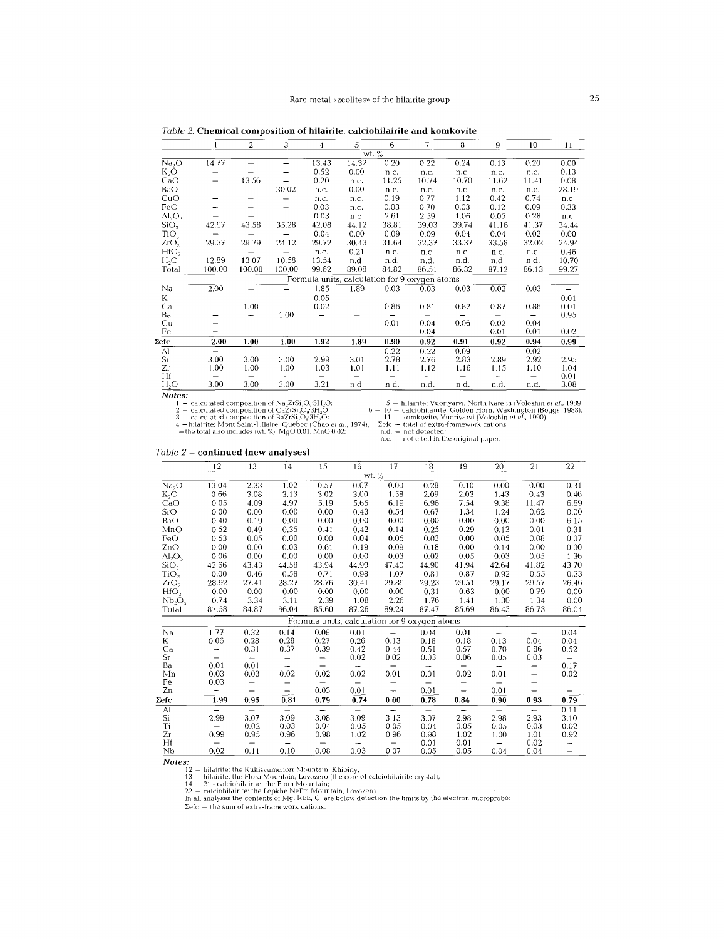*Table* 2. Chemical composition of hilairite, calciohilairite and komkovite

| wt. %<br>$1\overline{4.77}$<br>0.20<br>0.24<br>Na <sub>2</sub> O<br>13.43<br>14.32<br>0.22<br>0.13<br>0.20<br>0.00<br>$\overline{\phantom{0}}$<br>K,O<br>0.52<br>0.00<br>0.13<br>n.c.<br>n.c.<br>n.c.<br>n.c.<br>n.c.<br>13.56<br>0.20<br>11.25<br>CaO<br>10.74<br>10.70<br>11.62<br>11.41<br>0.08<br>n.c.<br>$\overline{\phantom{0}}$<br>30.02<br>BaO<br>0.00<br>28.19<br>n.c.<br>n.c.<br>n.c.<br>n.c.<br>n.c.<br>n.c.<br>$\overline{\phantom{m}}$<br>0.74<br>0.19<br>1.12<br>0.42<br>CuO<br>0.77<br>n.c.<br>n.c.<br>n.c.<br>0.03<br>0.03<br>FeO<br>0.03<br>0.09<br>0.70<br>0.12<br>0.33<br>n.c.<br>$\overline{\phantom{0}}$<br>0.03<br>2.61<br>1.06<br>2.59<br>0.05<br>0.28<br>$AI_2O_3$<br>n.c.<br>n.c.<br>$\overline{\phantom{a}}$<br>35.28<br>SiO <sub>2</sub><br>42.97<br>43.58<br>42.08<br>38.81<br>39.03<br>39.74<br>41.37<br>44.12<br>41.16<br>34.44<br>TiO <sub>2</sub><br>0.04<br>0.09<br>0.04<br>0.04<br>0.02<br>0.00<br>0.09<br>0.00<br>-<br>29.37<br>24.12<br>ZrO <sub>2</sub><br>29.79<br>29.72<br>33.37<br>32.02<br>30.43<br>31.64<br>32.37<br>33.58<br>24.94<br>HfO <sub>2</sub><br>0.21<br>0.46<br>n.c.<br>n.c.<br>n.c.<br>n.c.<br>n.c.<br>n.c.<br>$\overline{\phantom{0}}$<br>12.89<br>13.07<br>10.58<br>13.54<br>$H_2O$<br>n.d.<br>n.d.<br>10.70<br>n.d.<br>n.d.<br>n.d.<br>n.d.<br>100.00<br>86.13<br>99.62<br>84.82<br>86.32<br>Total<br>100.00<br>100.00<br>89.08<br>86.51<br>87.12<br>99.27<br>Formula units, calculation for 9 oxygen atoms<br>1.85<br>Na<br>2.00<br>1.89<br>0.03<br>0.03<br>0.03<br>0.02<br>0.03<br>$\overline{\phantom{0}}$<br>K<br>0.05<br>0.01<br>$\overline{\phantom{0}}$<br>$\overline{\phantom{0}}$<br>1.00<br>0.02<br>0.86<br>0.81<br>0.82<br>0.86<br>0.01<br>Ca<br>0.87<br>$\qquad \qquad -$<br>$\overline{\phantom{0}}$<br>$\overline{\phantom{a}}$<br>1.00<br>0.95<br>Ba<br>-<br>$\qquad \qquad -$<br>—<br>$\overline{\phantom{m}}$<br>$\qquad \qquad \qquad$<br>$\qquad \qquad \longleftarrow$<br>$\qquad \qquad \blacksquare$<br>0.06<br>0.01<br>0.04<br>0.02<br>0.04<br>Cu<br>$\overline{\phantom{0}}$<br>-<br>-<br>$\overline{\phantom{m}}$<br>0.02<br>0.01<br>Fe<br>0.04<br>0.01<br>$\overline{\phantom{0}}$<br>$\overline{\phantom{a}}$<br>$\overline{\phantom{0}}$<br>—<br>-<br>1.92<br>2.00<br>1.00<br>1.00<br>0.90<br>0.91<br>Σefc<br>1.89<br>0.92<br>0.94<br>0.99<br>0.92<br>$\overline{AI}$<br>0.22<br>0.22<br>0.02<br>0.09<br>$\qquad \qquad -$<br>$\overline{\phantom{0}}$<br>$\overline{\phantom{m}}$<br>$\overline{\phantom{0}}$<br>$\qquad \qquad -$<br>$\overline{\phantom{0}}$<br>$-$<br>Si<br>2.78<br>2.99<br>2.76<br>2.83<br>2.92<br>3.00<br>3.00<br>3.00<br>3.01<br>2.95<br>2.89<br>Zr<br>1.03<br>1.00<br>1.16<br>1.10<br>1.00<br>1.00<br>1.01<br>1.11<br>1.12<br>1.15<br>1.04<br>Hf<br>0.01<br>$\overline{\phantom{m}}$<br>$\overline{\phantom{m}}$<br>$\overline{\phantom{0}}$<br>$\qquad \qquad$<br>$\overline{\phantom{m}}$<br>-<br>$\overline{\phantom{m}}$<br>$\overline{\phantom{m}}$<br>$\overline{\phantom{m}}$<br>$H_2O$<br>3.21<br>3.00<br>3.00<br>3.00<br>3.08<br>n.d.<br>n.d.<br>n.d.<br>n.d.<br>n.d.<br>n.d. |  | 2 | 3 | 4 | 5 | 6 | 7 | 8 | 9 | 10 | 11 |
|-----------------------------------------------------------------------------------------------------------------------------------------------------------------------------------------------------------------------------------------------------------------------------------------------------------------------------------------------------------------------------------------------------------------------------------------------------------------------------------------------------------------------------------------------------------------------------------------------------------------------------------------------------------------------------------------------------------------------------------------------------------------------------------------------------------------------------------------------------------------------------------------------------------------------------------------------------------------------------------------------------------------------------------------------------------------------------------------------------------------------------------------------------------------------------------------------------------------------------------------------------------------------------------------------------------------------------------------------------------------------------------------------------------------------------------------------------------------------------------------------------------------------------------------------------------------------------------------------------------------------------------------------------------------------------------------------------------------------------------------------------------------------------------------------------------------------------------------------------------------------------------------------------------------------------------------------------------------------------------------------------------------------------------------------------------------------------------------------------------------------------------------------------------------------------------------------------------------------------------------------------------------------------------------------------------------------------------------------------------------------------------------------------------------------------------------------------------------------------------------------------------------------------------------------------------------------------------------------------------------------------------------------------------------------------------------------------------------------------------------------------------------------------------------------------------------------------------------------------------------------------------------------------------------------------------------------------------------------------------------------------------------------------------------------------------------------------------------------------|--|---|---|---|---|---|---|---|---|----|----|
|                                                                                                                                                                                                                                                                                                                                                                                                                                                                                                                                                                                                                                                                                                                                                                                                                                                                                                                                                                                                                                                                                                                                                                                                                                                                                                                                                                                                                                                                                                                                                                                                                                                                                                                                                                                                                                                                                                                                                                                                                                                                                                                                                                                                                                                                                                                                                                                                                                                                                                                                                                                                                                                                                                                                                                                                                                                                                                                                                                                                                                                                                                     |  |   |   |   |   |   |   |   |   |    |    |
|                                                                                                                                                                                                                                                                                                                                                                                                                                                                                                                                                                                                                                                                                                                                                                                                                                                                                                                                                                                                                                                                                                                                                                                                                                                                                                                                                                                                                                                                                                                                                                                                                                                                                                                                                                                                                                                                                                                                                                                                                                                                                                                                                                                                                                                                                                                                                                                                                                                                                                                                                                                                                                                                                                                                                                                                                                                                                                                                                                                                                                                                                                     |  |   |   |   |   |   |   |   |   |    |    |
|                                                                                                                                                                                                                                                                                                                                                                                                                                                                                                                                                                                                                                                                                                                                                                                                                                                                                                                                                                                                                                                                                                                                                                                                                                                                                                                                                                                                                                                                                                                                                                                                                                                                                                                                                                                                                                                                                                                                                                                                                                                                                                                                                                                                                                                                                                                                                                                                                                                                                                                                                                                                                                                                                                                                                                                                                                                                                                                                                                                                                                                                                                     |  |   |   |   |   |   |   |   |   |    |    |
|                                                                                                                                                                                                                                                                                                                                                                                                                                                                                                                                                                                                                                                                                                                                                                                                                                                                                                                                                                                                                                                                                                                                                                                                                                                                                                                                                                                                                                                                                                                                                                                                                                                                                                                                                                                                                                                                                                                                                                                                                                                                                                                                                                                                                                                                                                                                                                                                                                                                                                                                                                                                                                                                                                                                                                                                                                                                                                                                                                                                                                                                                                     |  |   |   |   |   |   |   |   |   |    |    |
|                                                                                                                                                                                                                                                                                                                                                                                                                                                                                                                                                                                                                                                                                                                                                                                                                                                                                                                                                                                                                                                                                                                                                                                                                                                                                                                                                                                                                                                                                                                                                                                                                                                                                                                                                                                                                                                                                                                                                                                                                                                                                                                                                                                                                                                                                                                                                                                                                                                                                                                                                                                                                                                                                                                                                                                                                                                                                                                                                                                                                                                                                                     |  |   |   |   |   |   |   |   |   |    |    |
|                                                                                                                                                                                                                                                                                                                                                                                                                                                                                                                                                                                                                                                                                                                                                                                                                                                                                                                                                                                                                                                                                                                                                                                                                                                                                                                                                                                                                                                                                                                                                                                                                                                                                                                                                                                                                                                                                                                                                                                                                                                                                                                                                                                                                                                                                                                                                                                                                                                                                                                                                                                                                                                                                                                                                                                                                                                                                                                                                                                                                                                                                                     |  |   |   |   |   |   |   |   |   |    |    |
|                                                                                                                                                                                                                                                                                                                                                                                                                                                                                                                                                                                                                                                                                                                                                                                                                                                                                                                                                                                                                                                                                                                                                                                                                                                                                                                                                                                                                                                                                                                                                                                                                                                                                                                                                                                                                                                                                                                                                                                                                                                                                                                                                                                                                                                                                                                                                                                                                                                                                                                                                                                                                                                                                                                                                                                                                                                                                                                                                                                                                                                                                                     |  |   |   |   |   |   |   |   |   |    |    |
|                                                                                                                                                                                                                                                                                                                                                                                                                                                                                                                                                                                                                                                                                                                                                                                                                                                                                                                                                                                                                                                                                                                                                                                                                                                                                                                                                                                                                                                                                                                                                                                                                                                                                                                                                                                                                                                                                                                                                                                                                                                                                                                                                                                                                                                                                                                                                                                                                                                                                                                                                                                                                                                                                                                                                                                                                                                                                                                                                                                                                                                                                                     |  |   |   |   |   |   |   |   |   |    |    |
|                                                                                                                                                                                                                                                                                                                                                                                                                                                                                                                                                                                                                                                                                                                                                                                                                                                                                                                                                                                                                                                                                                                                                                                                                                                                                                                                                                                                                                                                                                                                                                                                                                                                                                                                                                                                                                                                                                                                                                                                                                                                                                                                                                                                                                                                                                                                                                                                                                                                                                                                                                                                                                                                                                                                                                                                                                                                                                                                                                                                                                                                                                     |  |   |   |   |   |   |   |   |   |    |    |
|                                                                                                                                                                                                                                                                                                                                                                                                                                                                                                                                                                                                                                                                                                                                                                                                                                                                                                                                                                                                                                                                                                                                                                                                                                                                                                                                                                                                                                                                                                                                                                                                                                                                                                                                                                                                                                                                                                                                                                                                                                                                                                                                                                                                                                                                                                                                                                                                                                                                                                                                                                                                                                                                                                                                                                                                                                                                                                                                                                                                                                                                                                     |  |   |   |   |   |   |   |   |   |    |    |
|                                                                                                                                                                                                                                                                                                                                                                                                                                                                                                                                                                                                                                                                                                                                                                                                                                                                                                                                                                                                                                                                                                                                                                                                                                                                                                                                                                                                                                                                                                                                                                                                                                                                                                                                                                                                                                                                                                                                                                                                                                                                                                                                                                                                                                                                                                                                                                                                                                                                                                                                                                                                                                                                                                                                                                                                                                                                                                                                                                                                                                                                                                     |  |   |   |   |   |   |   |   |   |    |    |
|                                                                                                                                                                                                                                                                                                                                                                                                                                                                                                                                                                                                                                                                                                                                                                                                                                                                                                                                                                                                                                                                                                                                                                                                                                                                                                                                                                                                                                                                                                                                                                                                                                                                                                                                                                                                                                                                                                                                                                                                                                                                                                                                                                                                                                                                                                                                                                                                                                                                                                                                                                                                                                                                                                                                                                                                                                                                                                                                                                                                                                                                                                     |  |   |   |   |   |   |   |   |   |    |    |
|                                                                                                                                                                                                                                                                                                                                                                                                                                                                                                                                                                                                                                                                                                                                                                                                                                                                                                                                                                                                                                                                                                                                                                                                                                                                                                                                                                                                                                                                                                                                                                                                                                                                                                                                                                                                                                                                                                                                                                                                                                                                                                                                                                                                                                                                                                                                                                                                                                                                                                                                                                                                                                                                                                                                                                                                                                                                                                                                                                                                                                                                                                     |  |   |   |   |   |   |   |   |   |    |    |
|                                                                                                                                                                                                                                                                                                                                                                                                                                                                                                                                                                                                                                                                                                                                                                                                                                                                                                                                                                                                                                                                                                                                                                                                                                                                                                                                                                                                                                                                                                                                                                                                                                                                                                                                                                                                                                                                                                                                                                                                                                                                                                                                                                                                                                                                                                                                                                                                                                                                                                                                                                                                                                                                                                                                                                                                                                                                                                                                                                                                                                                                                                     |  |   |   |   |   |   |   |   |   |    |    |
|                                                                                                                                                                                                                                                                                                                                                                                                                                                                                                                                                                                                                                                                                                                                                                                                                                                                                                                                                                                                                                                                                                                                                                                                                                                                                                                                                                                                                                                                                                                                                                                                                                                                                                                                                                                                                                                                                                                                                                                                                                                                                                                                                                                                                                                                                                                                                                                                                                                                                                                                                                                                                                                                                                                                                                                                                                                                                                                                                                                                                                                                                                     |  |   |   |   |   |   |   |   |   |    |    |
|                                                                                                                                                                                                                                                                                                                                                                                                                                                                                                                                                                                                                                                                                                                                                                                                                                                                                                                                                                                                                                                                                                                                                                                                                                                                                                                                                                                                                                                                                                                                                                                                                                                                                                                                                                                                                                                                                                                                                                                                                                                                                                                                                                                                                                                                                                                                                                                                                                                                                                                                                                                                                                                                                                                                                                                                                                                                                                                                                                                                                                                                                                     |  |   |   |   |   |   |   |   |   |    |    |
|                                                                                                                                                                                                                                                                                                                                                                                                                                                                                                                                                                                                                                                                                                                                                                                                                                                                                                                                                                                                                                                                                                                                                                                                                                                                                                                                                                                                                                                                                                                                                                                                                                                                                                                                                                                                                                                                                                                                                                                                                                                                                                                                                                                                                                                                                                                                                                                                                                                                                                                                                                                                                                                                                                                                                                                                                                                                                                                                                                                                                                                                                                     |  |   |   |   |   |   |   |   |   |    |    |
|                                                                                                                                                                                                                                                                                                                                                                                                                                                                                                                                                                                                                                                                                                                                                                                                                                                                                                                                                                                                                                                                                                                                                                                                                                                                                                                                                                                                                                                                                                                                                                                                                                                                                                                                                                                                                                                                                                                                                                                                                                                                                                                                                                                                                                                                                                                                                                                                                                                                                                                                                                                                                                                                                                                                                                                                                                                                                                                                                                                                                                                                                                     |  |   |   |   |   |   |   |   |   |    |    |
|                                                                                                                                                                                                                                                                                                                                                                                                                                                                                                                                                                                                                                                                                                                                                                                                                                                                                                                                                                                                                                                                                                                                                                                                                                                                                                                                                                                                                                                                                                                                                                                                                                                                                                                                                                                                                                                                                                                                                                                                                                                                                                                                                                                                                                                                                                                                                                                                                                                                                                                                                                                                                                                                                                                                                                                                                                                                                                                                                                                                                                                                                                     |  |   |   |   |   |   |   |   |   |    |    |
|                                                                                                                                                                                                                                                                                                                                                                                                                                                                                                                                                                                                                                                                                                                                                                                                                                                                                                                                                                                                                                                                                                                                                                                                                                                                                                                                                                                                                                                                                                                                                                                                                                                                                                                                                                                                                                                                                                                                                                                                                                                                                                                                                                                                                                                                                                                                                                                                                                                                                                                                                                                                                                                                                                                                                                                                                                                                                                                                                                                                                                                                                                     |  |   |   |   |   |   |   |   |   |    |    |
|                                                                                                                                                                                                                                                                                                                                                                                                                                                                                                                                                                                                                                                                                                                                                                                                                                                                                                                                                                                                                                                                                                                                                                                                                                                                                                                                                                                                                                                                                                                                                                                                                                                                                                                                                                                                                                                                                                                                                                                                                                                                                                                                                                                                                                                                                                                                                                                                                                                                                                                                                                                                                                                                                                                                                                                                                                                                                                                                                                                                                                                                                                     |  |   |   |   |   |   |   |   |   |    |    |
|                                                                                                                                                                                                                                                                                                                                                                                                                                                                                                                                                                                                                                                                                                                                                                                                                                                                                                                                                                                                                                                                                                                                                                                                                                                                                                                                                                                                                                                                                                                                                                                                                                                                                                                                                                                                                                                                                                                                                                                                                                                                                                                                                                                                                                                                                                                                                                                                                                                                                                                                                                                                                                                                                                                                                                                                                                                                                                                                                                                                                                                                                                     |  |   |   |   |   |   |   |   |   |    |    |
|                                                                                                                                                                                                                                                                                                                                                                                                                                                                                                                                                                                                                                                                                                                                                                                                                                                                                                                                                                                                                                                                                                                                                                                                                                                                                                                                                                                                                                                                                                                                                                                                                                                                                                                                                                                                                                                                                                                                                                                                                                                                                                                                                                                                                                                                                                                                                                                                                                                                                                                                                                                                                                                                                                                                                                                                                                                                                                                                                                                                                                                                                                     |  |   |   |   |   |   |   |   |   |    |    |
|                                                                                                                                                                                                                                                                                                                                                                                                                                                                                                                                                                                                                                                                                                                                                                                                                                                                                                                                                                                                                                                                                                                                                                                                                                                                                                                                                                                                                                                                                                                                                                                                                                                                                                                                                                                                                                                                                                                                                                                                                                                                                                                                                                                                                                                                                                                                                                                                                                                                                                                                                                                                                                                                                                                                                                                                                                                                                                                                                                                                                                                                                                     |  |   |   |   |   |   |   |   |   |    |    |
|                                                                                                                                                                                                                                                                                                                                                                                                                                                                                                                                                                                                                                                                                                                                                                                                                                                                                                                                                                                                                                                                                                                                                                                                                                                                                                                                                                                                                                                                                                                                                                                                                                                                                                                                                                                                                                                                                                                                                                                                                                                                                                                                                                                                                                                                                                                                                                                                                                                                                                                                                                                                                                                                                                                                                                                                                                                                                                                                                                                                                                                                                                     |  |   |   |   |   |   |   |   |   |    |    |
|                                                                                                                                                                                                                                                                                                                                                                                                                                                                                                                                                                                                                                                                                                                                                                                                                                                                                                                                                                                                                                                                                                                                                                                                                                                                                                                                                                                                                                                                                                                                                                                                                                                                                                                                                                                                                                                                                                                                                                                                                                                                                                                                                                                                                                                                                                                                                                                                                                                                                                                                                                                                                                                                                                                                                                                                                                                                                                                                                                                                                                                                                                     |  |   |   |   |   |   |   |   |   |    |    |
|                                                                                                                                                                                                                                                                                                                                                                                                                                                                                                                                                                                                                                                                                                                                                                                                                                                                                                                                                                                                                                                                                                                                                                                                                                                                                                                                                                                                                                                                                                                                                                                                                                                                                                                                                                                                                                                                                                                                                                                                                                                                                                                                                                                                                                                                                                                                                                                                                                                                                                                                                                                                                                                                                                                                                                                                                                                                                                                                                                                                                                                                                                     |  |   |   |   |   |   |   |   |   |    |    |

*Notes:*

1 – calculated composition of Na<sub>2</sub>ZrSi,O<sub>0</sub>3H<sub>2</sub>O;<br>2 – calculated composition of Ca2rSi,O<sub>9</sub>3H<sub>2</sub>O;<br>3 – calculated composition of Ba2rSi,O<sub>9</sub>3H<sub>2</sub>O;<br>4 – hilairite: Mont Saint-Hilaire, Quebec (Chao *et al.*, 1974). Ecle-<br>

- the total also includes (wI..%): MgO 0.01, MnO 0.02; n.d.

- hilairite: VuoriyarvL North Karelia (Voloshin *el aJ., 1989);* - 10 - calciohilairite: Golden Horn, Washington (Boggs, 1988);

- komkovite, Vuoriyarvi (Voloshin *et aI., 1990).* - total of extra-framework cations<br>; not detected:

n.d. — not detected;<br>n.c. — not cited in the original paper<br>.

# *Table* 2 - continued (new analyses)

12 13 14 15 16 17 18 19 20 21 22  $\frac{\text{wt}}{0.07}$  $\text{Na}_2\text{O}$  13.04 2.33 1.02 0.57 0.07 0.00 0.28 0.10 0.00 0.00 0.31 K,O 0.66 3.08 3.13 3.02 3.00 1.58 2.09 2.03 1.43 0.43 0.46 CaO 0.05 4.09 4.97 5.19 5.65 6.19 6.96 7.54 9.38 11.47 6.89 SrO 0.00 0.00 0.00 0.00 0.43 0.54 0.67 1.34 1.24 0.62 0.00 BaO 0.40 0.19 0.00 0.00 0.00 0.00 0.00 0.00 0.00 0.00 6.15 MnO 0.52 0.49 0.35 0.41 0.42 0.14 0.25 0.29 0.13 0.01 0.31 FeO 0.53 0.05 0.00 0.00 0.04 0.05 0.03 0.00 0.05 0.08 0.07 ZnO 0.00 0.00 0.Q3 0.61 0.19 0.09 0.18 0.00 0.14 0.00 0.00  $\text{Al}_2\text{O}_3$  0.06 0.00 0.00 0.00 0.00 0.03 0.02 0.05 0.03 0.05 1.36  $\mathrm{SiO}_2$  42.66 43.43 44.58 43.94 44.99 47.40 44.90 41.94 42.64 41.82 43.70 TiO, 0.00 0.46 0.58 0.71 0.98 1.07 0.81 0.87 0.92 0.55 0.33 ZrO, 28.92 27.41 28.27 28.76 30.41 29.89 29.23 29.51 29.17 29.57 26.46 HIO, 0.00 0.00 0.00 0.00 0.00 0.00 0.31 0.63 0.00 0.79 0.00  $\mathrm{Nb_2O}_{5}$  0.74 3.34 3.11 2.39 1.08 2.26 1.76 1.41 1.30 1.34 0.00 Total 87.58 84.87 86.04 85.60 87.26 89.24 87.4 7 85.69 86.43 86.73 86.04 Formula units, calculation for 9 oxygen atoms Na 1.77 0.32 0.14 0.08 0.01  $-$  0.04 0.01  $-$  0.04 K 0.06 0.28 0.28 0.27 0.26 0.13 0.18 0.18 0.13 0.04 0.04 Ca 0.31 0.37 0.39 0.42 0.44 0.51 0.57 0.70 0.86 0.52  $Sr$   $0.02$   $0.02$   $0.03$   $0.06$   $0.05$   $0.03$ Ba 0.01 0.01 0.17  $\rm{Mn}$  0.03 0.03 0.02 0.02 0.02 0.01 0.01 0.02 0.01  $-$  0.02 Fe  $0.03$ <br>Zn  $\text{Zn}$  - - - 0.03 0.01 - 0.01 - 0.01 ~Ic 1.99 0.95 0.81 0.79 0.74 0.60 0.78 0.84 0.90 0.93 0.79 Al 0.11 Si 2.99 3.07 3.09 3.08 3.09 3.13 3.07 2.98 2.98 2.93 3.10 Ti 0.02 0.03 0.04 0.05 0.05 0.04 0.05 0.05 0.Q3 0.02 Zr 0.99 0.95 0.96 0.98 1.02 0.96 0.98 1.02 1.00 1.01 0.92 Hf  $-$  0.01 0.01  $-$  0.02  $\rightarrow$ Nb 0.02 0.11 0.10 0.08 0.03 0.07 0.05 0.05 0.04 0.04

*Notes:*

12 — hilairite: the Kukisvumchorr Mountain, Khibiny;<br>13 — hilairite: the Flora Mountain, Lovozero (the core of calciohitairite crystal);<br>14 — 21 - calciohilairite: the Flora Mountain;<br>22 — calciohilairite: the Lepkhe Nell'

 $\Sigma$ efc  $-$  the sum of extra-framework cation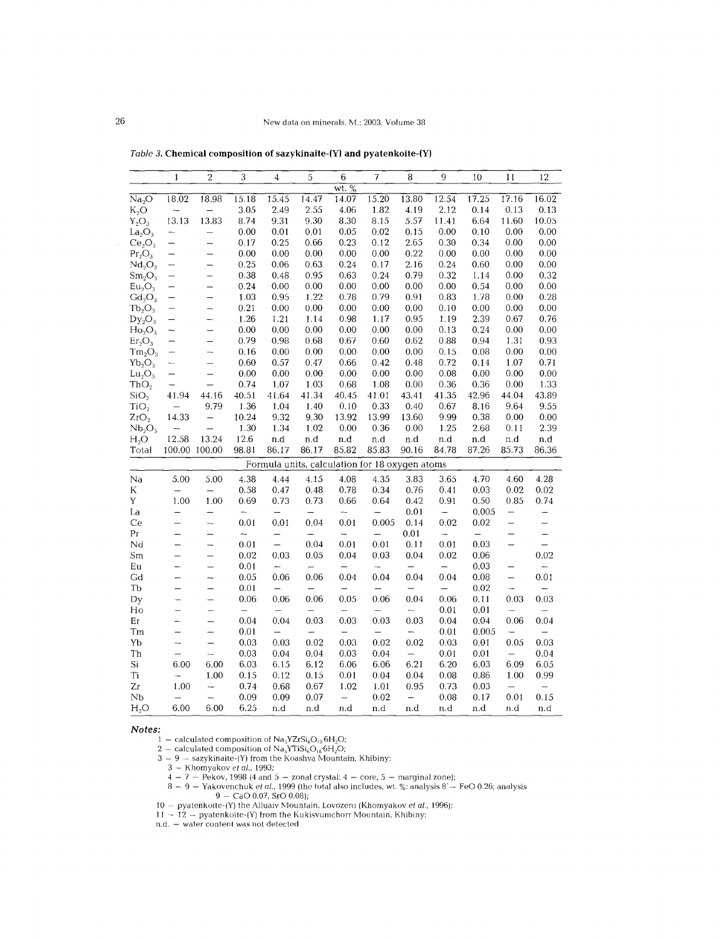|                                | 1                        | $\overline{2}$           | 3             | 4                        | 5                        | 6                        | 7                                              | 8                        | 9                        | 10       | 11                       | 12                       |
|--------------------------------|--------------------------|--------------------------|---------------|--------------------------|--------------------------|--------------------------|------------------------------------------------|--------------------------|--------------------------|----------|--------------------------|--------------------------|
|                                |                          |                          |               |                          |                          | wt. %                    |                                                |                          |                          |          |                          |                          |
| Na <sub>2</sub> O              | 18.02                    | 18.98                    | 15.18         | 15.45                    | 14.47                    | 14.07                    | 15.20                                          | 13.80                    | 12.54                    | 17.25    | 17.16                    | 16.02                    |
| $K_2O$                         |                          |                          | 3.05          | 2.49                     | 2.55                     | 4.06                     | 1.82                                           | 4.19                     | 2.12                     | 0.14     | 0.13                     | 0.13                     |
| $Y_2O_3$                       | 13.13                    | 13.83                    | 8.74          | 9.31                     | 9.30                     | 8.30                     | 8.15                                           | 5.57                     | 11.41                    | 6.64     | 11.60                    | 10.05                    |
| $La_2O_3$                      | -                        | $\overline{\phantom{0}}$ | 0.00          | 0.01                     | 0.01                     | 0.05                     | 0.02                                           | 0.15                     | 0.00                     | 0.10     | 0.00                     | 0.00                     |
| Ce <sub>2</sub> O <sub>3</sub> | $\overline{\phantom{0}}$ | $\overline{\phantom{0}}$ | 0.17          | 0.25                     | 0.66                     | 0.23                     | 0.12                                           | 2.65                     | 0.30                     | 0.34     | 0.00                     | 0.00                     |
| Pr <sub>2</sub> O <sub>3</sub> | $\overline{\phantom{0}}$ | $\overline{\phantom{0}}$ | 0.00          | 0.00                     | 0.00                     | 0.00                     | 0.00                                           | 0.22                     | 0.00                     | 0.00     | 0.00                     | 0.00                     |
| Nd <sub>2</sub> O <sub>3</sub> | —                        | —                        | 0.25          | 0.06                     | 0.63                     | 0.24                     | 0.17                                           | 2.16                     | 0.24                     | 0.60     | 0.00                     | 0.00                     |
| $Sm_2O_3$                      | $\overline{\phantom{0}}$ | ÷,                       | 0.38          | 0.48                     | 0.95                     | 0.63                     | 0.24                                           | 0.79                     | 0.32                     | 1.14     | 0.00                     | 0.32                     |
| Eu <sub>2</sub> O <sub>3</sub> | $\overline{\phantom{0}}$ | $\overline{\phantom{0}}$ | 0.24          | 0.00                     | 0.00                     | 0.00                     | 0.00                                           | 0.00                     | 0.00                     | 0.54     | 0.00                     | 0.00                     |
| $Gd_2O_3$                      | $\overline{\phantom{0}}$ | $\overline{\phantom{0}}$ | 1.03          | 0.95                     | 1.22                     | 0.78                     | 0.79                                           | 0.91                     | 0.83                     | 1.78     | 0.00                     | 0.28                     |
| $Tb_2O_3$                      | -                        | —                        | 0.21          | 0.00                     | 0.00                     | 0.00                     | 0.00                                           | 0.00                     | 0.10                     | 0.00     | 0.00                     | 0.00                     |
| $Dy_2O_3$                      | $\overline{\phantom{0}}$ | —                        | 1.26          | 1.21                     | 1.14                     | 0.98                     | 1.17                                           | 0.95                     | 1.19                     | 2.39     | 0.67                     | 0.76                     |
| $Ho_2O_3$                      | -                        | —                        | 0.00          | 0.00                     | 0.00                     | 0.00                     | 0.00                                           | 0.00                     | 0.13                     | 0.24     | 0.00                     | 0.00                     |
| Er <sub>2</sub> O <sub>3</sub> | $\overline{\phantom{0}}$ | $\overline{\phantom{0}}$ | 0.79          | 0.98                     | 0.68                     | 0.67                     | 0.60                                           | 0.62                     | 0.88                     | 0.94     | 1.31                     | 0.93                     |
| Tm <sub>2</sub> O <sub>3</sub> | —                        | --                       | 0.16          | 0.00                     | 0.00                     | 0.00                     | 0.00                                           | 0.00                     | 0.15                     | 0.08     | 0.00                     | 0.00                     |
| $Yb_2O_3$                      | -                        | $\overline{\phantom{0}}$ | 0.60          | 0.57                     | 0.47                     | 0.66                     | 0.42                                           | 0.48                     | 0.72                     | 0.14     | 1.07                     | 0.71                     |
| $Lu_2O_3$                      | —                        | $\overline{\phantom{0}}$ | 0.00          | 0.00                     | 0.00                     | 0.00                     | 0.00                                           | 0.00                     | 0.08                     | 0.00     | 0.00                     | 0.00                     |
| ThO <sub>2</sub>               | -                        | $\overline{\phantom{0}}$ | 0.74          | 1.07                     | 1.03                     | 0.68                     | 1.08                                           | 0.00                     | 0.36                     | 0.36     | 0.00                     | 1.33                     |
| SiO <sub>2</sub>               | 41.94                    | 44.16                    | 40.51         | 41.64                    | 41.34                    | 40.45                    | 41.01                                          | 43.41                    | 41.35                    | 42.96    | 44.04                    | 43.89                    |
| TiO <sub>2</sub>               | ÷                        | 9.79                     | 1.36          | 1.04                     | 1.40                     | 0.10                     | 0.33                                           | 0.40                     | 0.67                     | 8.16     | 9.64                     | 9.55                     |
| ZrO <sub>2</sub>               | 14.33                    | $\overline{\phantom{0}}$ | 10.24         | 9.32                     | 9.30                     | 13.92                    | 13.99                                          | 13.60                    | 9.99                     | 0.38     | 0.00                     | 0.00                     |
| Nb <sub>2</sub> O <sub>5</sub> |                          |                          | 1.30          | 1.34                     | 1.02                     | 0.00                     | 0.36                                           | 0.00                     | 1.25                     | 2.68     | 0.11                     | 2.39                     |
| H <sub>2</sub> O               | 12.58                    | 13.24                    | 12.6          | n.d                      | n.d                      | n.d                      | n.d                                            | n.d                      | n.d                      | n.d      | n.d                      | n.d                      |
| Total                          |                          | 100.00 100.00            | 98.81         | 86.17                    | 86.17                    | 85.82                    | 85.83                                          | 90.16                    | 84.78                    | 87.26    | 85.73                    | 86.36                    |
|                                |                          |                          |               |                          |                          |                          | Formula units, calculation for 18 oxygen atoms |                          |                          |          |                          |                          |
| Na                             | 5.00                     | 5.00                     | 4.38          | 4.44                     | 4.15                     | 4.08                     | 4.35                                           | 3.83                     | 3.65                     | 4.70     | 4.60                     | 4.28                     |
| Κ                              | $\overline{\phantom{0}}$ | $\overline{\phantom{0}}$ | 0.58          | 0.47                     | 0.48                     | 0.78                     | 0.34                                           | 0.76                     | 0.41                     | 0.03     | 0.02                     | 0.02                     |
| Y                              | 1.00                     | 1.00                     | 0.69          | 0.73                     | 0.73                     | 0.66                     | 0.64                                           | 0.42                     | 0.91                     | 0.50     | 0.85                     | 0.74                     |
| La                             | $\overline{\phantom{0}}$ | $\overline{\phantom{0}}$ | $\frac{1}{2}$ | $\overline{\phantom{0}}$ | $\equiv$                 | $\overline{\phantom{m}}$ | $\equiv$                                       | 0.01                     | $\qquad \qquad -$        | 0.005    | $\overline{\phantom{0}}$ | $\overline{\phantom{0}}$ |
| Ce                             |                          | $\overline{a}$           | 0.01          | 0.01                     | 0.04                     | 0.01                     | 0.005                                          | 0.14                     | 0.02                     | 0.02     |                          |                          |
| Pr                             | $\overline{\phantom{0}}$ | $\overline{\phantom{0}}$ | <u></u>       | $\equiv$                 | $\overline{\phantom{0}}$ | $\overline{\phantom{m}}$ | $\overline{\phantom{m}}$                       | 0.01                     | $\overline{\phantom{0}}$ | $\equiv$ | $\overline{\phantom{0}}$ |                          |
| Nd                             | $\overline{\phantom{0}}$ | $\overline{ }$           | 0.01          | $\overline{a}$           | 0.04                     | 0.01                     | 0.01                                           | 0.11                     | 0.01                     | 0.03     |                          | $\overline{\phantom{0}}$ |
| Sm                             | $\overline{\phantom{0}}$ | $\overline{\phantom{0}}$ | 0.02          | 0.03                     | 0.05                     | 0.04                     | 0.03                                           | 0.04                     | 0.02                     | 0.06     |                          | 0.02                     |
| Eu                             | —                        | $\overline{\phantom{0}}$ | 0.01          | -                        | $\overline{\phantom{0}}$ | $\overline{\phantom{0}}$ | $\overline{\phantom{0}}$                       | $\overline{\phantom{0}}$ | $\overline{\phantom{0}}$ | 0.03     | $\overline{\phantom{0}}$ |                          |
| Gd                             |                          | $\overline{\phantom{0}}$ | 0.05          | 0.06                     | 0.06                     | 0.04                     | 0.04                                           | 0.04                     | 0.04                     | 0.08     | $\overline{\phantom{0}}$ | 0.01                     |
| Tb                             | $\overline{\phantom{0}}$ | $\overline{\phantom{0}}$ | 0.01          | $\overline{\phantom{0}}$ |                          |                          |                                                |                          | $\equiv$                 | 0.02     |                          |                          |
| Dy                             | $\overline{\phantom{0}}$ | $\overline{\phantom{0}}$ | 0.06          | 0.06                     | 0.06                     | 0.05                     | 0.06                                           | 0.04                     | 0.06                     | 0.11     | 0.03                     | 0.03                     |
| Ho                             |                          | $\overline{a}$           |               |                          |                          |                          |                                                | ∽–                       | 0.01                     | 0.01     |                          |                          |
| Er                             | Ξ.                       | $\overline{\phantom{0}}$ | 0.04          | 0.04                     | 0.03                     | 0.03                     | 0.03                                           | 0.03                     | 0.04                     | 0.04     | 0.06                     | 0.04                     |
| Tm                             |                          | $\equiv$                 | 0.01          | $\overline{\phantom{0}}$ |                          |                          |                                                | Ξ.                       | 0.01                     | 0.005    |                          |                          |
| Yb                             |                          | $\equiv$                 | 0.03          | 0.03                     | 0.02                     | 0.03                     | 0.02                                           | 0.02                     | 0.03                     | 0.01     | 0.05                     | 0.03                     |
| Th                             |                          | $\overline{a}$           | 0.03          | 0.04                     | 0.04                     | 0.03                     | 0.04                                           | $\overline{\phantom{0}}$ | 0.01                     | 0.01     |                          | 0.04                     |
| Si                             | 6.00                     | 6.00                     | 6.03          | 6.15                     | 6.12                     | 6.06                     | 6.06                                           | 6.21                     | 6.20                     | 6.03     | 6.09                     | 6.05                     |
| Ti                             | L,                       | 1.00                     | 0.15          | 0.12                     | 0.15                     | 0.01                     | 0.04                                           | 0.04                     | 0.08                     | 0.86     | 1.00                     | 0.99                     |
| Zr                             | 1.00                     | $\overline{\phantom{0}}$ | 0.74          | 0.68                     | 0.67                     | 1.02                     | 1.01                                           | 0.95                     | 0.73                     | 0.03     |                          |                          |
| Nb                             | $\overline{\phantom{0}}$ |                          | 0.09          | 0.09                     | 0.07                     | $\overline{\phantom{0}}$ | 0.02                                           | $\overline{\phantom{0}}$ | 0.08                     | 0.17     | 0.01                     | 0.15                     |
| H <sub>2</sub> O               | 6.00                     | 6.00                     | 6.25          | n.d                      | n.d                      | n.d                      | n.d                                            | n.d                      | n.d                      | n.d      | n.d                      | n.d                      |

*Table* 3. **Chemical composition of sazykinaite-(YI and pyatenkoite-(Y)**

*Notes:*

1 — calculated composition of Na<sub>3</sub>YZrSi<sub>6</sub>O<sub>18</sub><sup>-6H<sub>2</sub>O;<br>2 — calculated composition of Na<sub>3</sub>YTiSi<sub>6</sub>O<sub>18</sub><sup>-6H<sub>2</sub>O;<br>3 — 9 — sazykinaite-(Y) from the Koashva Mountain, Khibin</sup></sup>

3 - Khomyakov *et ai., 1993;*

4 – 7 – Pekov, 1998 (4 and 5 – zonal crystal: 4 – core, 5 – marginal zone);<br>8 – 9 – Yakovenchuk *et al.*, 1999 (the total also includes, wt. %: analysis 8`– FeO 0.26; analys 9 - CaO 0.07, SrO 0.08);

10 - pyatenkoite-(Y) the Alluaiv Mountain, Lovozero (Khomyakov *et ai., 1996);*

11  $-$  12  $-$  pyatenkoite-(Y) from the Kukisvumchorr Mountain, Khibir

**n.d. — water content was not detect**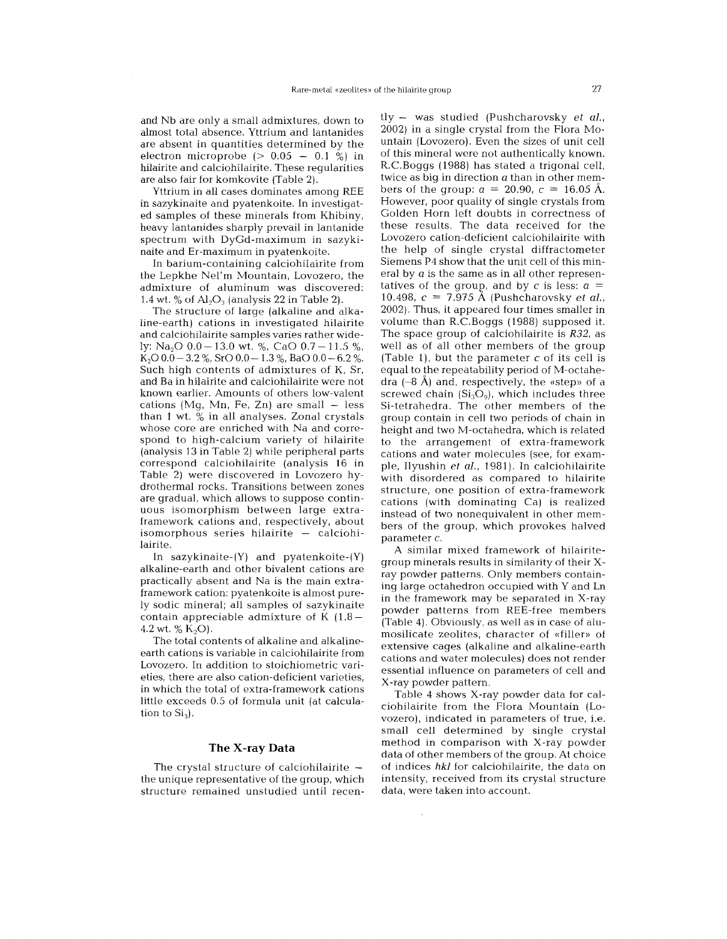and Nb are only a small admixtures, down to almost total absence. Yttrium and lantanides are absent in quantities determined by the electron microprobe  $(> 0.05 - 0.1 \%)$  in hilairite and calciohilairite. These regularities are also fair for komkovite (Table 2).

Yttrium in all cases dominates among REE in sazykinaite and pyatenkoite. In investigated samples of these minerals from Khibiny, heavy lantanides sharply prevail in lantanide spectrum with DyGd-maximum in sazykinaite and Er-maximum in pyatenkoite.

In barium-containing calciohilairite from the Lepkhe Nel'm Mountain, Lovozero, the admixture of aluminum was discovered: 1.4 wt. % of  $\text{Al}_2\text{O}_3$  (analysis 22 in Table 2).

The structure of large (alkaline and alkaline-earth) cations in investigated hilairite and calciohilairite samples varies rather widely: Na<sub>2</sub>O  $0.0 - 13.0$  wt. %, CaO  $0.7 - 11.5$  %,  $K_2O$  0.0 – 3.2 %, SrO 0.0 – 1.3 %, BaO 0.0 – 6.2 %. Such high contents of admixtures of  $K$ ,  $Sr$ , and Ba in hilairite and calciohilairite were not known earlier. Amounts of others low-valent  $cations (Mg, Mn, Fe, Zn) are small - less$ than 1 wt. % in all analyses. Zonal crystals whose core are enriched with Na and correspond to high-calcium variety of hilairite (analysis 13 in Table 2) while peripheral parts correspond calciohilairite (analysis 16 in Table 2) were discovered in Lovozero hydrothermal rocks. Transitions between zones are gradual, which allows to suppose continuous isomorphism between large extraframework cations and, respectively, about isomorphous series hilairite — calcio lairite.

In sazykinaite- $(Y)$  and pyatenkoite- $(Y)$ alkaline-earth and other bivalent cations are practically absent and Na is the main extraframework cation: pyatenkoite is almost purely sodic mineral; all samples of sazykinaite contain appreciable admixture of K $(1.8 -$ 4.2 wt.  $\%$  K<sub>2</sub>O).

The total contents of alkaline and alkalineearth cations is variable in calciohilairite from Lovozero. In addition to stoichiometric varieties, there are also cation-deficient varieties, in which the total of extra-framework cations little exceeds 0.5 of formula unit (at calculation to  $Si<sub>3</sub>$ .

## **The X-ray Data**

The crystal structure of calciohilairite the unique representative of the group, which structure remained unstudied until recen-

 $t\bar{v}$  - was studied (Pushcharovsky et al., 2002) in a single crystal from the Flora Mountain (Lovozero). Even the sizes of unit cell of this mineral were not authentically known. R.C.Boggs (1988) has stated a trigonal cell, twice as big in direction *a* than in other members of the group:  $a = 20.90$ ,  $c = 16.05$  Å. However, poor quality of single crystals from Golden Horn left doubts in correctness of these results. The data received for the Lovozero cation-deficient calciohilairite with the help of single crystal diffractometer Siemens P4 show that the unit cell of this mineral by *a* is the same as in all other representatives of the group, and by c is less:  $a =$ 10.498, c = 7.975 A (Pushcharovsky *et ai.,* 2002). Thus, it appeared four times smaller in volume than R.C.Boggs (1988) supposed it. The space group of calciohilairite is *R32,* as well as of all other members of the group (Table 1), but the parameter  $c$  of its cell is equal to the repeatability period of M-octahedra  $(-8 \text{ Å})$  and, respectively, the «step» of a screwed chain  $(Si_3O_9)$ , which includes three Si-tetrahedra. The other members of the group contain in cell two periods of chain in height and two M-octahedra, which is related to the arrangement of extra-framework cations and water molecules (see, for example, Ilyushin et al., 1981). In calciohilairite with disordered as compared to hilairite structure, one position of extra-framework cations (with dominating Ca) is realized instead of two nonequivalent in other members of the group, which provokes halved parameter c.

A similar mixed framework of hilairitegroup minerals results in similarity of their Xray powder patterns. Only members containing large octahedron occupied with Y and Ln in the framework may be separated in X-ray powder patterns from REE-free members (Table 4). Obviously, as well as in case of alumosilicate zeolites, character of «filler» of extensive cages (alkaline and alkaline-earth cations and water molecules) does not render essential influence on parameters of cell and X-ray powder pattern.

Table 4 shows X-ray powder data for calciohilairite from the Flora Mountain (Lovozero), indicated in parameters of true, i.e. small cell determined by single crystal method in comparison with X-ray powder data of other members of the group. At choice of indices *hki* for calciohilairite, the data on intensity, received from its crystal structure data, were taken into account.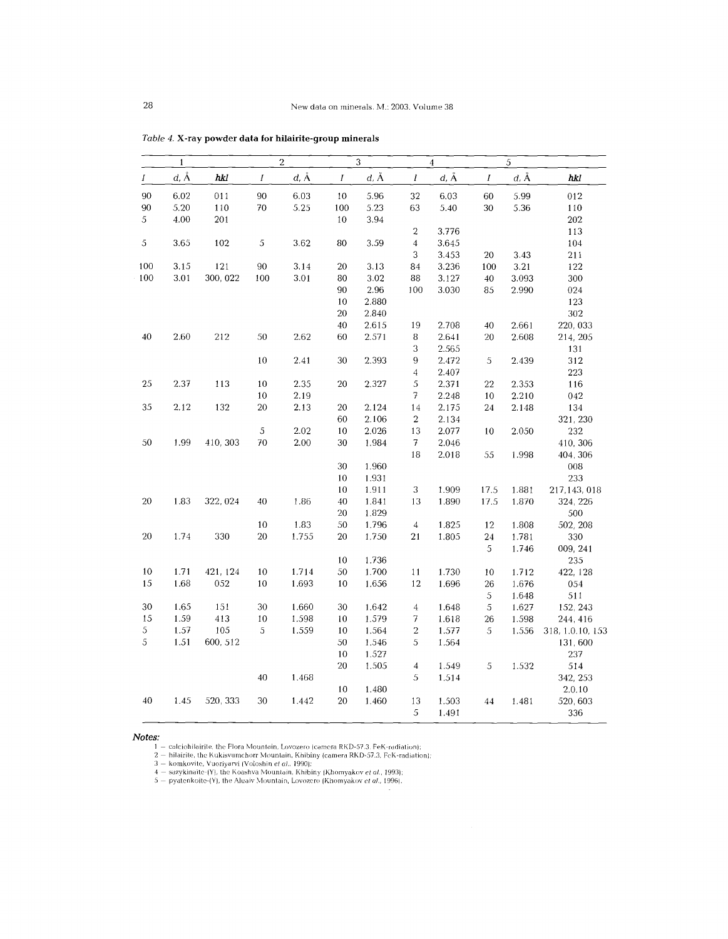|               | $\mathbf{1}$ |          |              | $\overline{2}$ |          | 3<br>$\overline{4}$<br>$\sqrt{5}$ |                         |                             |                  |          |                  |
|---------------|--------------|----------|--------------|----------------|----------|-----------------------------------|-------------------------|-----------------------------|------------------|----------|------------------|
| Ι             | $d, \AA$     | hkl      | $\cal I$     | $d, \AA$       | $\cal I$ | $d, \AA$                          | $\boldsymbol{l}$        | $d, \, \mathring{\text{A}}$ | $\boldsymbol{I}$ | $d, \AA$ | hkl              |
| 90            | 6.02         | 011      | $90^{\circ}$ | 6.03           | 10       | 5.96                              | 32                      | 6.03                        | 60               | 5.99     | 012              |
| 90            | 5.20         | 110      | 70           | 5.25           | 100      | 5.23                              | 63                      | 5.40                        | 30               | 5.36     | 110              |
| 5             | 4.00         | 201      |              |                | 10       | 3.94                              |                         |                             |                  |          | 202              |
|               |              |          |              |                |          |                                   | $\boldsymbol{2}$        | 3.776                       |                  |          | 113              |
| $\mathfrak s$ | 3.65         | 102      | 5            | 3.62           | 80       | 3.59                              | $\overline{\mathbf{4}}$ | 3.645                       |                  |          | 104              |
|               |              |          |              |                |          |                                   | 3                       | 3.453                       | 20               | 3.43     | 211              |
| 100           | 3.15         | 121      | 90           | 3.14           | 20       | 3.13                              | 84                      | 3.236                       | 100              | 3.21     | 122              |
| 100           | 3.01         | 300, 022 | 100          | 3.01           | 80       | 3.02                              | 88                      | 3.127                       | 40               | 3.093    | 300              |
|               |              |          |              |                | 90       | 2.96                              | 100                     | 3.030                       | 85               | 2.990    | 024              |
|               |              |          |              |                | 10       | 2.880                             |                         |                             |                  |          | 123              |
|               |              |          |              |                | 20       | 2.840                             |                         |                             |                  |          | 302              |
|               |              |          |              |                | 40       | 2.615                             | 19                      | 2.708                       | 40               | 2.661    | 220, 033         |
| 40            | 2.60         | 212      | 50           | 2.62           | 60       | 2.571                             | 8                       | 2.641                       | 20               | 2.608    | 214, 205         |
|               |              |          |              |                |          |                                   | 3                       | 2.565                       |                  |          | 131              |
|               |              |          | 10           | 2.41           | 30       | 2.393                             | $\,9$                   | 2.472                       | 5                | 2.439    | 312              |
|               |              |          |              |                |          |                                   | $\overline{4}$          | 2.407                       |                  |          | 223              |
| 25            | 2.37         | 113      | 10           | 2.35           | 20       | 2.327                             | 5                       | 2.371                       | 22               | 2.353    | 116              |
|               |              |          | 10           | 2.19           |          |                                   | 7                       | 2.248                       | 10               | 2.210    | 042              |
| 35            | 2.12         | 132      | 20           | 2.13           | 20       | 2.124                             | 14                      | 2.175                       | 24               | 2.148    | 134              |
|               |              |          |              |                | 60       | 2.106                             | $\sqrt{2}$              | 2.134                       |                  |          | 321, 230         |
|               |              |          | 5            | $2.02\,$       | 10       | 2.026                             | 13                      | 2.077                       | 10               | 2.050    | 232              |
| 50            | 1.99         | 410, 303 | 70           | $2.00\,$       | 30       | 1.984                             | 7                       | 2.046                       |                  |          | 410, 306         |
|               |              |          |              |                |          |                                   | 18                      | 2.018                       | 55               | 1.998    | 404, 306         |
|               |              |          |              |                | $30\,$   | 1.960                             |                         |                             |                  |          | 008              |
|               |              |          |              |                | 10       | 1.931                             |                         |                             |                  |          | 233              |
|               |              |          |              |                | 10       | 1.911                             | 3                       | 1.909                       | 17.5             | 1.881    | 217,143,018      |
| 20            | 1.83         | 322, 024 | 40           | 1.86           | 40       | 1.841                             | 13                      | 1.890                       | 17.5             | 1.870    | 324, 226         |
|               |              |          |              |                | 20       | 1.829                             |                         |                             |                  |          | 500              |
|               |              |          | 10           | 1.83           | 50       | 1.796                             | $\overline{4}$          | 1.825                       | 12               | 1.808    | 502, 208         |
| 20            | 1.74         | 330      | 20           | 1.755          | 20       | 1.750                             | 21                      | 1.805                       | $\bf{24}$        | 1.781    | 330              |
|               |              |          |              |                |          |                                   |                         |                             | 5                | 1.746    | 009, 241         |
|               |              |          |              |                | 10       | 1.736                             |                         |                             |                  |          | 235              |
| $10\,$        | 1.71         | 421, 124 | 10           | 1.714          | 50       | 1.700                             | 11                      | 1.730                       | 10               | 1.712    | 422, 128         |
| 15            | 1.68         | 052      | 10           | 1.693          | 10       | 1.656                             | 12                      | 1.696                       | 26               | 1.676    | 054              |
|               |              |          |              |                |          |                                   |                         |                             | $\sqrt{5}$       | 1.648    | 511              |
| 30            | 1.65         | 151      | 30           | 1.660          | 30       | 1.642                             | $\overline{4}$          | 1.648                       | 5                | 1.627    | 152, 243         |
| 15            | 1.59         | 413      | 10           | 1.598          | 10       | 1.579                             | 7                       | 1.618                       | 26               | 1.598    | 244, 416         |
| 5             | 1.57         | 105      | 5            | 1.559          | 10       | 1.564                             | $\,2$                   | 1.577                       | 5                | 1.556    | 318, 1.0.10, 153 |
| 5             | 1.51         | 600, 512 |              |                | 50       | 1.546                             | 5                       | 1.564                       |                  |          | 131,600          |
|               |              |          |              |                | 10       | 1.527                             |                         |                             |                  |          | 237              |
|               |              |          |              |                | 20       | 1.505                             | $\boldsymbol{4}$        | 1.549                       | $\sqrt{5}$       | 1.532    | 514              |
|               |              |          | 40           | 1.468          |          |                                   | 5                       | 1.514                       |                  |          | 342, 253         |
|               |              |          |              |                | $10\,$   | 1.480                             |                         |                             |                  |          | 2.0.10           |
| 40            | 1.45         | 520, 333 | 30           | 1.442          | 20       | 1.460                             | 13                      | 1.503                       | 44               | 1.481    | 520,603          |
|               |              |          |              |                |          |                                   | 5                       | 1.491                       |                  |          | 336              |

*Table* 4. X-ray powder data for hilairite-group minerals

**Notes:**<br>
1 – calciohilairite, the Flora Mountain, Lovozero (camera RKD-57.3, FeK-radiation);<br>
2 – hilairite, the Kukisvumchorr Mountain, Khibiny (camera RKD-57.3, FeK-radiatio<br>
3 – komkovite, Vuoriyarvi (Voloshin e*t al.*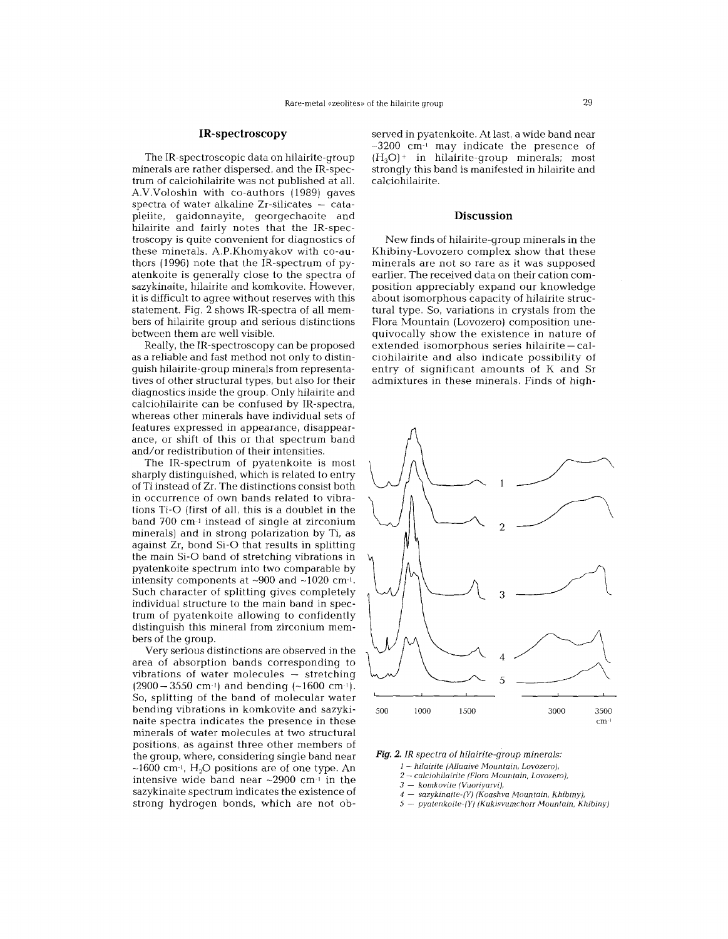# **IR-spectroscopy**

The IR-spectroscopic data on hilairite-group minerals are rather dispersed, and the IR-spectrum of calciohilairite was not published at all. A.V.Voloshin with co-authors (1989) gaves spectra of water alkaline Zr-silicates  $-$  cata pleiite, gaidonnayite, georgechaoite and hilairite and fairly notes that the IR-spectroscopy is quite convenient for diagnostics of these minerals. A.P.Khomyakov with co-authors (1996) note that the IR-spectrum of pyatenkoite is generally close to the spectra of sazykinaite, hilairite and komkovite. However, it is difficult to agree without reserves with this statement. Fig. 2 shows IR-spectra of all members of hilairite group and serious distinctions between them are well visible.

Really, the IR-spectroscopy can be proposed as a reliable and fast method not only to distinguish hilairite-group minerals from representatives of other structural types, but also for their diagnostics inside the group. Only hilairite and calciohilairite can be confused by IR-spectra, whereas other minerals have individual sets of features expressed in appearance, disappearance, or shift of this or that spectrum band and/or redistribution of their intensities.

The IR-spectrum of pyatenkoite is most sharply distinguished, which is related to entry of Ti instead of Zr. The distinctions consist both in occurrence of own bands related to vibrations Ti-O (first of all, this is a doublet in the band 700 cm-l instead of single at zirconium minerals) and in strong polarization by Ti, as against Zr, bond Si-O that results in splitting the main Si-O band of stretching vibrations in pyatenkoite spectrum into two comparable by intensity components at  $\sim$ 900 and  $\sim$ 1020 cm<sup>-1</sup>. Such character of splitting gives completely individual structure to the main band in spectrum of pyatenkoite allowing to confidently distinguish this mineral from zirconium members of the group.

Very serious distinctions are observed in the area of absorption bands corresponding to vibrations of water molecules - stretching  $(2900-3550 \text{ cm}^{-1})$  and bending  $(-1600 \text{ cm}^{-1})$ . So, splitting of the band of molecular water bending vibrations in komkovite and sazykinaite spectra indicates the presence in these minerals of water molecules at two structural positions, as against three other members of the group, where, considering single band near  $\sim$ 1600 cm<sup>-1</sup>. H<sub>2</sub>O positions are of one type. An intensive wide band near  $\sim$ 2900 cm $\cdot$ <sup>1</sup> in the sazykinaite spectrum indicates the existence of strong hydrogen bonds, which are not observed in pyatenkoite. At last, a wide band near  $\sim$ 3200 cm $^{-1}$  may indicate the presence of  $(H<sub>3</sub>O)<sup>+</sup>$  in hilairite-group minerals; most strongly this band is manifested in hilairite and calciohilairite.

#### **Discussion**

New finds of hilairite-group minerals in the Khibiny-Lovozero complex show that these minerals are not so rare as it was supposed earlier. The received data on their cation composition appreciably expand our knowledge about isomorphous capacity of hilairite structural type. So, variations in crystals from the Flora Mountain (Lovozero) composition unequivocally show the existence in nature of extended isomorphous series hilairite—cal ciohilairite and also indicate possibility of entry of significant amounts of K and Sr admixtures in these minerals. Finds of high-



*Fig.* 2. *IR spectra of hilairite-group minerals:*

*1 hilairite (Alluaive Mountain, Lovozero),*

- 2 *calciohilairite (Flora Mountain, Lovozero),*

- 3 - *komkovite (Vuoriyarvi),*

4 - *sazykinaite-(Y) (Koashva Mountain, Khibiny),*

5 - *pyatenkoite-(Y) (Kukisvumchorr Mountain, Khibiny)*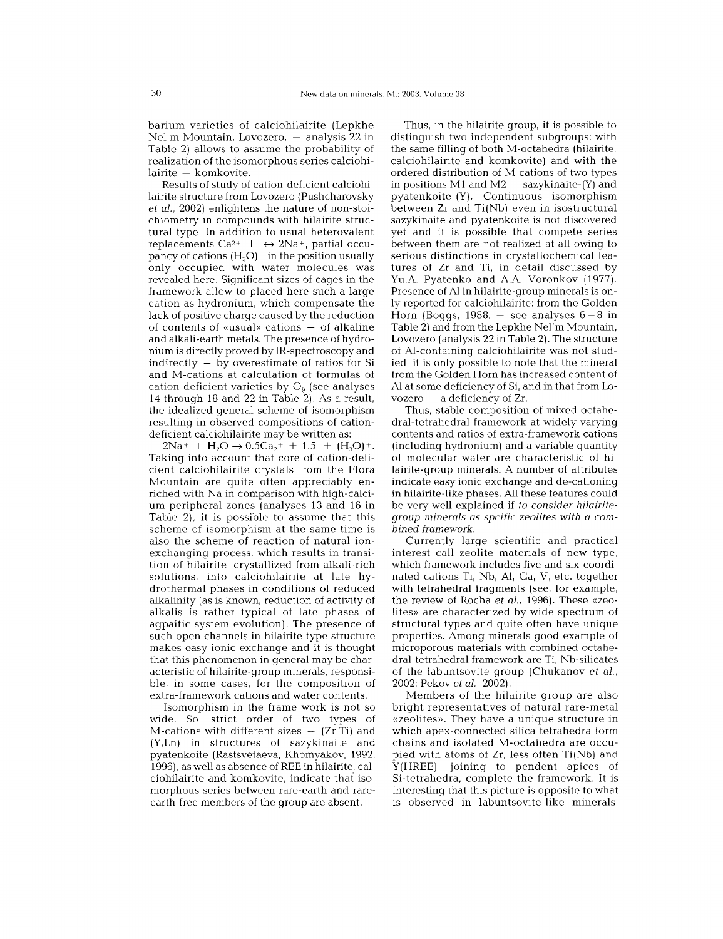barium varieties of calciohilairite (Lepkhe Nel'm Mountain, Lovozero, — analysis 22 in Table 2) allows to assume the probability of realization of the isomorphous series calciohilairite — komkov

Results of study of cation-deficient calciohilairite structure from Lovozero (Pushcharovsky et a1., 2002) enlightens the nature of non-stoichiometry in compounds with hilairite structural type. In addition to usual heterovalent replacements Ca<sup>2+</sup> +  $\leftrightarrow$  2Na+, partial occupancy of cations  $(H_3O)$  + in the position usually only occupied with water molecules was revealed here. Significant sizes of cages in the framework allow to placed here such a large cation as hydronium, which compensate the lack of positive charge caused by the reduction of contents of «usual» cations — of alkalin and alkali-earth metals. The presence of hydronium is directly proved by IR-spectroscopy and indirectly - by overestimate of ratios for Si and M-cations at calculation of formulas of cation-deficient varieties by  $O<sub>9</sub>$  (see analyses 14 through 18 and 22 in Table 2). As a result, the idealized general scheme of isomorphism resulting in observed compositions of cationdeficient calciohilairite may be written as:

 $2Na^{+} + H_{2}O \rightarrow 0.5Ca_{2}^{+} + 1.5 + (H_{3}O)^{+}$ . Taking into account that core of cation-deficient calciohilairite crystals from the Flora Mountain are quite often appreciably enriched with Na in comparison with high-calcium peripheral zones (analyses 13 and 16 in Table 2). it is possible to assume that this scheme of isomorphism at the same time is also the scheme of reaction of natural ionexchanging process, which results in transition of hilairite, crystallized from alkali-rich solutions, into calciohilairite at late hydrothermal phases in conditions of reduced alkalinity (as is known, reduction of activity of alkalis is rather typical of late phases of agpaitic system evolution). The presence of such open channels in hilairite type structure makes easy ionic exchange and it is thought that this phenomenon in general may be characteristic of hilairite-group minerals, responsible, in some cases, for the composition of extra-framework cations and water contents.

Isomorphism in the frame work is not so wide. So, strict order of two types of  $M$ -cations with different sizes  $(Zr, Ti)$  and (Y,Ln) in structures of sazykinaite and pyatenkoite (Rastsvetaeva, Khomyakov, 1992, 1996), as well as absence of REE in hilairite, calciohilairite and komkovite, indicate that isomorphous series between rare-earth and rareearth-free members of the group are absent.

Thus, in the hilairite group, it is possible to distinguish two independent subgroups: with the same filling of both M-octahedra (hilairite, calciohilairite and komkovite) and with the ordered distribution of M-cations of two types in positions M1 and M2  $-$  sazykinaite-(Y) and pyatenkoite-(Y). Continuous isomorphism between Zr and Ti(Nb) even in isostructural sazykinaite and pyatenkoite is not discovered yet and it is possible that compete series between them are not realized at all owing to serious distinctions in crystallochemical features of Zr and Ti, in detail discussed by YU.A Pyatenko and AA Voronkov (1977). Presence of Al in hilairite-group minerals is only reported for calciohilairite: from the Golden Horn (Boggs, 1988, - see analyses 6 - 8 in Table 2) and from the Lepkhe Nel'm Mountain, Lovozero (analysis 22 in Table 2). The structure of AI-containing calciohilairite was not studied, it is only possible to note that the mineral from the Golden Horn has increased content of Al at some deficiency of Si, and in that from Lovozero  $-$  a deficiency of Zr.

Thus, stable composition of mixed octahedral-tetrahedral framework at widely varying contents and ratios of extra-framework cations (including hydronium) and a variable quantity of molecular water are characteristic of hilairite-group minerals. A number of attributes indicate easy ionic exchange and de-cationing in hilairite-like phases. All these features could be very well explained if *to consider hilairitegroup minerals* as *spcific zeolites with* a *combined framework.*

Currently large scientific and practical interest call zeolite materials of new type, which framework includes five and six-coordinated cations Ti, Nb, AI, Ga, V, etc. together with tetrahedral fragments (see, for example, the review of Rocha et al., 1996). These «zeolites» are characterized by wide spectrum of structural types and quite often have unique properties. Among minerals good example of microporous materials with combined octahedral-tetrahedral framework are Ti, Nb-silicates of the labuntsovite group (Chukanov et al., 2002; Pekov et al., 2002).

Members of the hilairite group are also bright representatives of natural rare-metal «zeolites». They have a unique structure in which apex-connected silica tetrahedra form chains and isolated M-octahedra are occupied with atoms of Zr, less often Ti(Nb) and Y(HREE), joining to pendent apices of Si-tetrahedra, complete the framework. It is interesting that this picture is opposite to what is observed in labuntsovite-like minerals,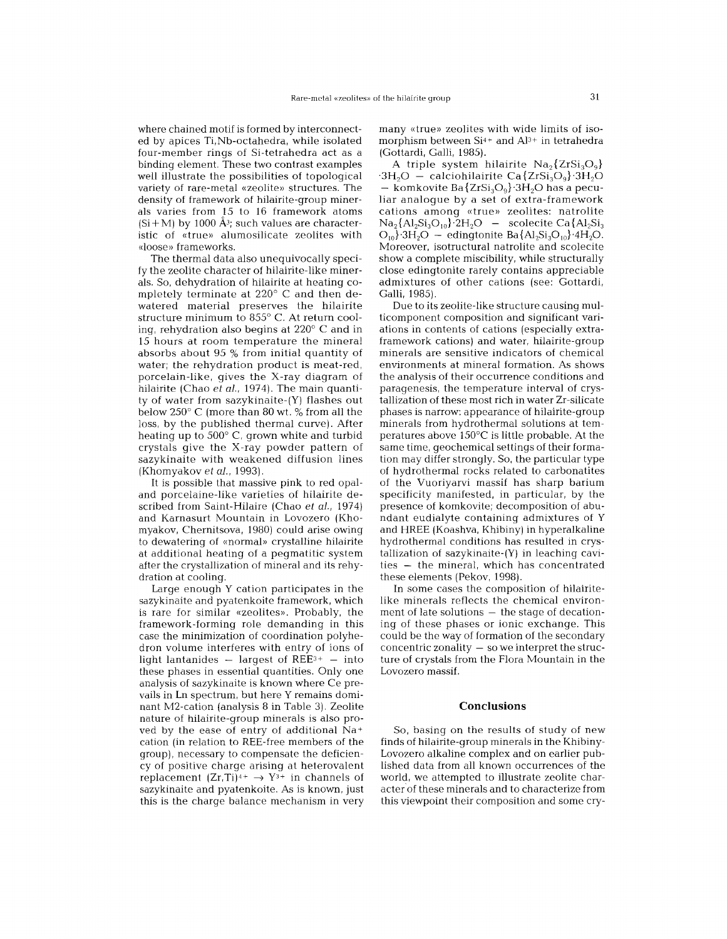where chained motif is formed by interconnected by apices Ti,Nb-octahedra, while isolated four-member rings of Si-tetrahedra act as a binding element. These two contrast examples well illustrate the possibilities of topological variety of rare-metal «zeolite» structures. The density of framework of hilairite-group minerals varies from 15 to 16 framework atoms  $(Si+M)$  by 1000  $\AA$ <sup>3</sup>; such values are characteristic of «true» alumosilicate zeolites with «loose» frameworks.

The thermal data also unequivocally specify the zeolite character of hilairite-like minerals. So, dehydration of hilairite at heating completely terminate at 220° C and then dewatered material preserves the hilairite structure minimum to 855° C. At return cooling, rehydration also begins at 220° C and in 15 hours at room temperature the mineral absorbs about 95 % from initial quantity of water; the rehydration product is meat-red, porcelain-like, gives the X-ray diagram of hilairite (Chao *et ai.,* 1974). The main quantity of water from sazykinaite-(Y) flashes out below 250° C (more than 80 wt. % from all the loss, by the published thermal curve). After heating up to 500° C, grown white and turbid crystals give the X-ray powder pattern of sazykinaite with weakened diffusion lines (Khomyakov *et ai.,* 1993).

It is possible that massive pink to red opaland porcelaine-like varieties of hilairite described from Saint-Hilaire (Chao *et ai., 1974)* and Karnasurt Mountain in Lovozero (Khomyakov, Chernitsova, 1980) could arise owing to dewatering of «normal» crystalline hilairite at additional heating of a pegmatitic system after the crystallization of mineral and its rehydration at cooling.

Large enough Y cation participates in the sazykinaite and pyatenkoite framework, which is rare for similar «zeolites». Probably, the framework-forming role demanding in this case the minimization of coordination polyhedron volume interferes with entry of ions of light lantanides  $-$  largest of REE<sup>3+</sup>  $-$  into these phases in essential quantities. Only one analysis of sazykinaite is known where Ce prevails in Ln spectrum, but here Y remains dominant M2-cation (analysis 8 in Table 3). Zeolite nature of hilairite-group minerals is also proved by the ease of entry of additional Na<sup>+</sup> cation (in relation to REE-free members of the group), necessary to compensate the deficiency of positive charge arising at heterovalent replacement  $(Zr, Ti)^{4+} \rightarrow Y^{3+}$  in channels of sazykinaite and pyatenkoite. As is known, just this is the charge balance mechanism in very

many «true» zeolites with wide limits of isomorphism between  $Si<sup>4+</sup>$  and  $Al<sup>3+</sup>$  in tetrahedra (Gottardi, Galli, 1985).

A triple system hilairite  $Na<sub>2</sub>{ZrSi<sub>3</sub>O<sub>9</sub>}$  $\cdot$ 3H<sub>2</sub>O - calciohilairite Ca $\{ZrSi_2O_9\}\cdot3H_2O$  $-$  komkovite Ba $\{ZrSi_3O_9\}$  3H<sub>2</sub>O has a pecu liar analogue by a set of extra-framework cations among «true» zeolites: natrolite  $Na_2{Al_2Si_3O_{10}}$ <sup>y</sup> $2H_2O$  - scolecite Ca ${Al_2Si_3}$  $O_{10}$ '3H<sub>2</sub>O – edingtonite Ba{Al<sub>2</sub>Si<sub>3</sub>O<sub>10</sub>}'4H<sub>2</sub>O. Moreover, isotructural natrolite and scolecite show a complete miscibility, while structurally close edingtonite rarely contains appreciable admixtures of other cations (see: Gottardi, Galli, 1985).

Due to its zeolite-like structure causing multicomponent composition and significant variations in contents of cations (especially extraframework cations) and water, hilairite-group minerals are sensitive indicators of chemical environments at mineral formation. As shows the analysis of their occurrence conditions and paragenesis, the temperature interval of crystallization of these most rich in water Zr-silicate phases is narrow: appearance of hilairite-group minerals from hydrothermal solutions at temperatures above 150°C is little probable. At the same time, geochemical settings of their formation may differ strongly. So, the particular type of hydrothermal rocks related to carbonatites of the Vuoriyarvi massif has sharp barium specificity manifested, in particular, by the presence of komkovite; decomposition of abundant eudialyte containing admixtures of Y and HREE (Koashva, Khibiny) in hyperalkaline hydrothermal conditions has resulted in crystallization of sazykinaite-(Y) in leaching cavi $ties - the mineral, which has concentrated$ these elements (Pekov, 1998).

In some cases the composition of hilairitelike minerals reflects the chemical environ- $\frac{1}{2}$  ment of late solutions  $-$  the stage of decation ing of these phases or ionic exchange. This could be the way of formation of the secondary concentric zonality  $-$  so we interpret the structure of crystals from the Flora Mountain in the Lovozero massif.

#### **Conclusions**

So, basing on the results of study of new finds of hilairite-group minerals in the Khibiny-Lovozero alkaline complex and on earlier published data from all known occurrences of the world, we attempted to illustrate zeolite character'of these minerals and to characterize from this viewpoint their composition and some cry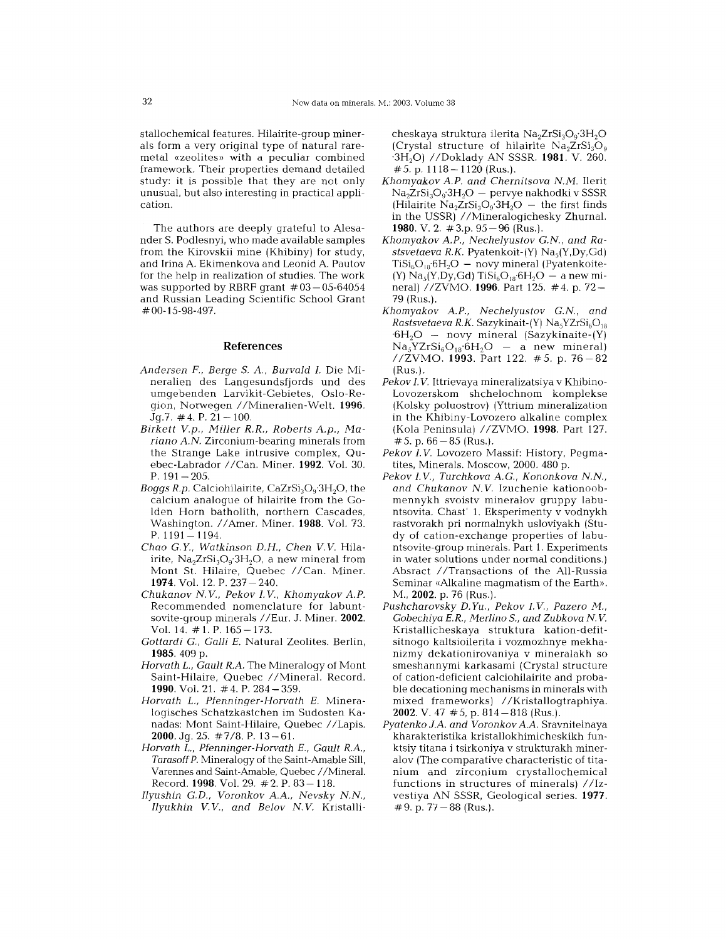stallochemical features. Hilairite-group minerals form a very original type of natural raremetal «zeolites» with a peculiar combined framework. Their properties demand detailed study: it is possible that they are not only unusual, but also interesting in practical application.

The authors are deeply grateful to Alesander S. Podlesnyi, who made available samples from the Kirovskii mine (Khibiny) for study, and Irina A. Ekimenkova and Leonid A. Pautov for the help in realization of studies. The work was supported by RBRF grant  $#03-05-6405$ and Russian Leading Scientific School Grant #00-15-98-497.

## References

- *Andersen F., Berge S.* A, *Burvald I.* Die Mineralien des Langesundsfjords und des umgebenden Larvikit-Gebietes, Oslo-Region, Norwegen //Mineralien-Welt. 1996.  $Jq.7. \#4. P. 21-100.$
- *Birkett V.p., Miller R.R., Roberts A.p., Ma*riano A.N. Zirconium-bearing minerals from the Strange Lake intrusive complex, Quebec-Labrador //Can. Miner. 1992. Vol. 30. P.  $191-205$ .
- *Boggs R.p.* Calciohilairite, CaZrSi<sub>3</sub>O<sub>9</sub>'3H<sub>2</sub>O, the calcium analogue of hilairite from the Golden Horn batholith, northern Cascades, Washington. *I lAmer.* Miner. 1988. Vol. 73. P. 1191 — 1194
- *Chao* G. *Y., Watkinson D.H., Chen V. V.* Hilairite,  $Na<sub>2</sub>ZrSi<sub>3</sub>O<sub>9</sub>·3H<sub>2</sub>O<sub>r</sub>$  a new mineral from Mont St. Hilaire, Quebec //Can. Miner. 1974. Vol. 12. P. 237-240.
- *Chukanov N V., Pekov I. V., Khomyakov AP.* Recommended nomenclature for labuntsovite-group minerals //Eur. J. Miner. 2002. Vol. 14. #1.P.165-173.
- *Gottardi* G., *Galli E.* Natural Zeolites. Berlin, 1985. 409 p.
- *Horvath* L., *Gault R.A.* The Mineralogy of Mont Saint-Hilaire, Quebec //Mineral. Record. 1990. Vol. 21. #4. P. 284-359.
- *Horvath L., Pfenninger-Horvath E.* Mineralogisches Schatzkastchen im Sudosten Kanadas: Mont Saint-Hilaire, Quebec //Lapis. 2000. Jq. 25.  $\#7/8$ . P. 13 - 61.
- *Horvath L., Pfenninger-Horvath E., Gault R.A, Tarasoff P.* Mineralogy of the Saint-Amable Sill, Varennes and Saint-Amable, Quebec //Mineral. Record. 1998. Vol. 29. #2. P. 83-118.
- *Ilyushin G.D., Voronkov* AA, *Nevsky NN, Ilyukhin V. V., and Belov N V.* Kristalli-

cheskaya struktura ilerita Na<sub>2</sub>ZrSi<sub>3</sub>O<sub>9</sub>.3H<sub>2</sub>O (Crystal structure of hilairite  $Na<sub>2</sub>ZrSi<sub>3</sub>O<sub>9</sub>$ '3H20) *IIDoklady* AN SSSR. **1981.** V. 260.  $# 5.$  p. 1118  $- 1120$  (Rus.).

- *Khomyakov AP. and Chemitsova NM.* Ilerit  $\text{Na}_{2}\text{ZrSi}_{3}\text{O}_{9}$ :3 $\text{H}_{2}\text{O}$   $-$  pervye nakhodki v SSSF (Hilairite  $Na<sub>2</sub>ZrSi<sub>3</sub>O<sub>9</sub>·3H<sub>2</sub>O$  – the first finds in the USSR) //Mineralogichesky Zhurnal. 1980. V. 2.  $\#3$ .p. 95 - 96 (Rus.).
- *Khomyakov AP., Nechelyustov G.N, and Rastsvetaeva R.K.* Pyatenkoit-(Y) Nas(Y,Dy,Gd)  $T_i$ Si<sub>6</sub>O<sub>18</sub><sup>·</sup>6H<sub>2</sub>O – novy mineral (Pyatenkoite- $(Y)$  Na<sub>s</sub> $(Y, Dy, Gd)$  TiSi<sub>s</sub>O<sub>18</sub>.6H<sub>2</sub>O - a new mineral) //ZVMO. **1996**. Part 125. #4. p. 72-79 (Rus.).
- *Khomyakov AP., Nechelyustov G.N, and*  $Rastsvetaeva R.K.$  Sazykinait- $(Y)$  Na<sub>s</sub> $YZrSi<sub>6</sub>O<sub>19</sub>$  $-6H<sub>2</sub>O -$  novy mineral (Sazykinaite-(Y)  $Na<sub>5</sub>YZrSi<sub>6</sub>O<sub>18</sub>·6H<sub>2</sub>O$  – a new mineral) *IIZVMO.* 1993. Part 122. # 5. p. 76 - 82 (Rus.).
- *Pekov I.V.* Ittrievaya mineralizatsiya v Khibino-Lovozerskom shchelochnom komplekse (Kolsky poluostrov) (Yttrium mineralization in the Khibiny-Lovozero alkaline complex (Kola Peninsula) *IIZVMO.* 1998. Part 127.  $# 5. p. 66 - 85$  (Rus.).
- *Pekov I.V.* Lovozero Massif: History, Pegmatites, Minerals. Moscow, 2000. 480 p.
- *Pekov I.V., Turchkova* A G., *Kononkova NN, and Chukanov* N. *V.* Izuchenie kationoobmennykh svoistv mineralov gruppy labuntsovita. Chast' 1. Eksperimenty v vodnykh rastvorakh pri normalnykh usloviyakh (Study of cation-exchange properties of labuntsovite-group minerals. Part 1. Experiments in water solutions under normal conditions.) Absract //Transactions of the All-Russia Seminar «Alkaline magmatism of the Earth». M., 2002. p. 76 (Rus.).
- *Pushcharovsky* D. *Yu., Pekov I. V., Pazero M., Gobechiya E.R., Merlino 5., and Zubkova N V.* Kristallicheskaya struktura kation-defitsitnogo kaltsioilerita i vozmozhnye mekhanizmy dekationirovaniya v mineralakh so smeshannymi karkasami (Crystal structure of cation-deficient calciohilairite and probable decationing mechanisms in minerals with mixed frameworks) //Kristallogtraphiya. 2002. V. 47  $# 5$ , p. 814 - 818 (Rus.).
- *Pyatenko* J.A *and Voronkov* AA Sravnitelnaya kharakteristika kristallokhimicheskikh funktsiy titana i tsirkoniya v strukturakh mineralov (The comparative characteristic of titanium and zirconium crystallochemical functions in structures of minerals) *IIIz*vestiya AN SSSR, Geological series. 1977.  $\#9.$  p.  $77-88$  (Rus.).